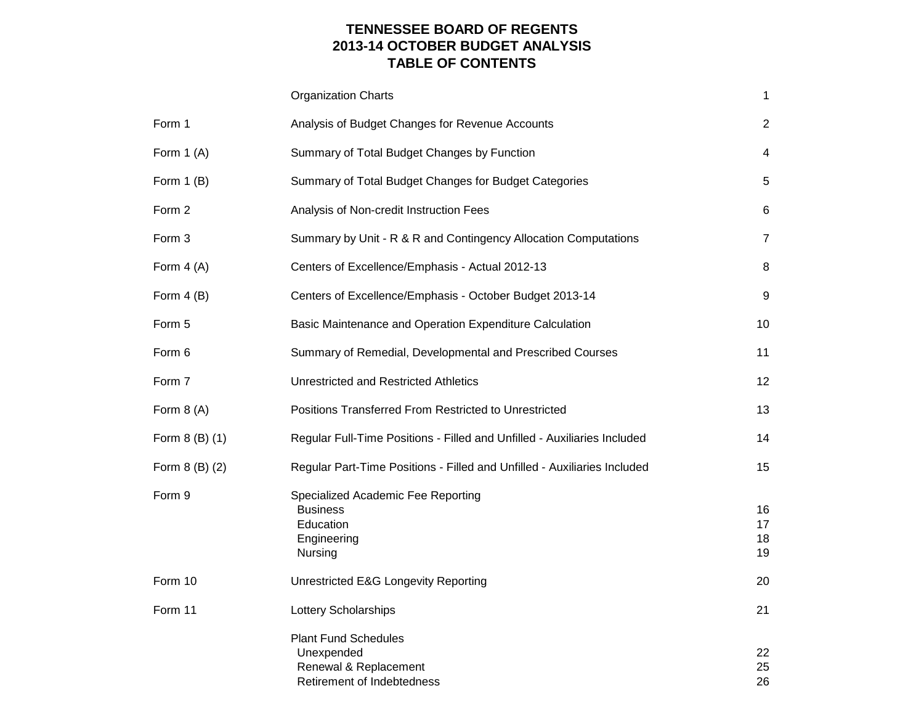# **TENNESSEE BOARD OF REGENTS 2013-14 OCTOBER BUDGET ANALYSIS TABLE OF CONTENTS**

|                | <b>Organization Charts</b>                                                                       | 1                    |
|----------------|--------------------------------------------------------------------------------------------------|----------------------|
| Form 1         | Analysis of Budget Changes for Revenue Accounts                                                  | $\overline{2}$       |
| Form $1(A)$    | Summary of Total Budget Changes by Function                                                      | 4                    |
| Form $1(B)$    | Summary of Total Budget Changes for Budget Categories                                            | 5                    |
| Form 2         | Analysis of Non-credit Instruction Fees                                                          | 6                    |
| Form 3         | Summary by Unit - R & R and Contingency Allocation Computations                                  | 7                    |
| Form $4(A)$    | Centers of Excellence/Emphasis - Actual 2012-13                                                  | 8                    |
| Form $4(B)$    | Centers of Excellence/Emphasis - October Budget 2013-14                                          | 9                    |
| Form 5         | Basic Maintenance and Operation Expenditure Calculation                                          | 10                   |
| Form 6         | Summary of Remedial, Developmental and Prescribed Courses                                        | 11                   |
| Form 7         | <b>Unrestricted and Restricted Athletics</b>                                                     | 12                   |
| Form $8(A)$    | Positions Transferred From Restricted to Unrestricted                                            | 13                   |
| Form 8 (B) (1) | Regular Full-Time Positions - Filled and Unfilled - Auxiliaries Included                         | 14                   |
| Form 8 (B) (2) | Regular Part-Time Positions - Filled and Unfilled - Auxiliaries Included                         | 15                   |
| Form 9         | Specialized Academic Fee Reporting<br><b>Business</b><br>Education<br>Engineering<br>Nursing     | 16<br>17<br>18<br>19 |
| Form 10        | Unrestricted E&G Longevity Reporting                                                             | 20                   |
| Form 11        | Lottery Scholarships                                                                             | 21                   |
|                | <b>Plant Fund Schedules</b><br>Unexpended<br>Renewal & Replacement<br>Retirement of Indebtedness | 22<br>25<br>26       |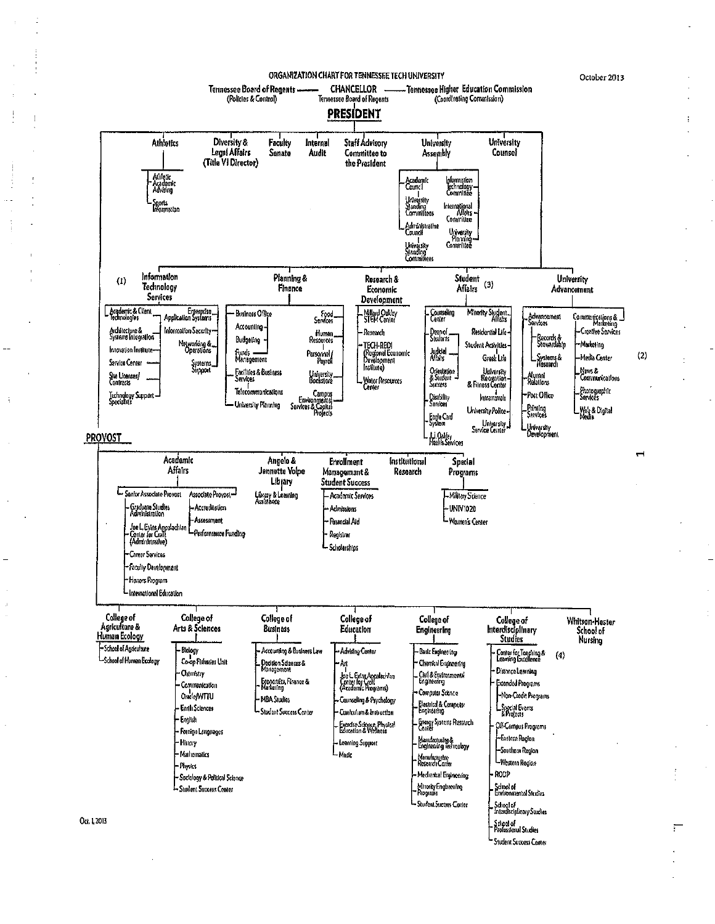ORGANIZATION CHART FOR TENNESSEE TECH UNIVERSITY

October 2013



Student Success Center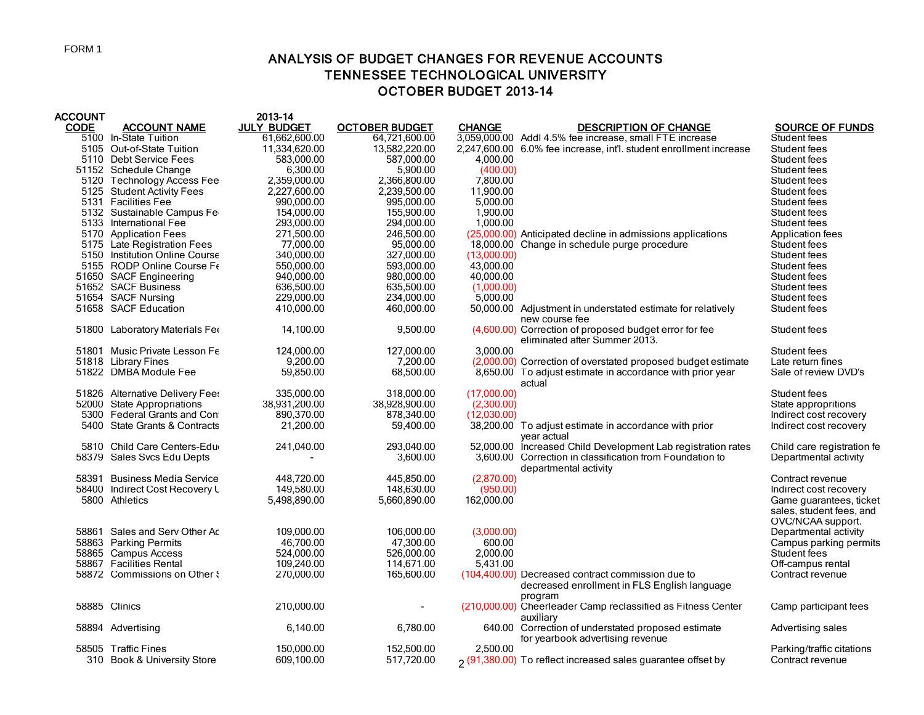# ANALYSIS OF BUDGET CHANGES FOR REVENUE ACCOUNTS TENNESSEE TECHNOLOGICAL UNIVERSITY OCTOBER BUDGET 2013-14

| <b>ACCOUNT</b> |                                                      | 2013-14                  |                          |               |                                                                                                              |                                               |
|----------------|------------------------------------------------------|--------------------------|--------------------------|---------------|--------------------------------------------------------------------------------------------------------------|-----------------------------------------------|
| <b>CODE</b>    | <b>ACCOUNT NAME</b>                                  | <b>JULY BUDGET</b>       | <b>OCTOBER BUDGET</b>    | <b>CHANGE</b> | <b>DESCRIPTION OF CHANGE</b>                                                                                 | <b>SOURCE OF FUNDS</b>                        |
|                | 5100 In-State Tuition                                | 61,662,600.00            | 64,721,600.00            |               | 3,059,000.00 Addl 4.5% fee increase, small FTE increase                                                      | Student fees                                  |
|                | 5105 Out-of-State Tuition                            | 11,334,620.00            | 13,582,220.00            |               | 2,247,600.00 6.0% fee increase, int'l. student enrollment increase                                           | Student fees                                  |
|                | 5110 Debt Service Fees                               | 583,000.00               | 587,000.00               | 4,000.00      |                                                                                                              | Student fees                                  |
|                | 51152 Schedule Change                                | 6,300.00                 | 5,900.00                 | (400.00)      |                                                                                                              | Student fees                                  |
|                | 5120 Technology Access Fee                           | 2,359,000.00             | 2,366,800.00             | 7,800.00      |                                                                                                              | Student fees                                  |
|                | 5125 Student Activity Fees                           | 2,227,600.00             | 2,239,500.00             | 11,900.00     |                                                                                                              | Student fees                                  |
|                | 5131 Facilities Fee                                  | 990,000.00               | 995,000.00               | 5,000.00      |                                                                                                              | Student fees                                  |
|                | 5132 Sustainable Campus Fe                           | 154,000.00               | 155,900.00               | 1,900.00      |                                                                                                              | Student fees                                  |
|                | 5133 International Fee                               | 293,000.00<br>271,500.00 | 294,000.00<br>246,500.00 | 1,000.00      | (25,000.00) Anticipated decline in admissions applications                                                   | Student fees                                  |
|                | 5170 Application Fees<br>5175 Late Registration Fees | 77.000.00                | 95.000.00                |               | 18,000.00 Change in schedule purge procedure                                                                 | Application fees<br>Student fees              |
|                | 5150 Institution Online Course                       | 340,000.00               | 327,000.00               | (13,000.00)   |                                                                                                              | Student fees                                  |
|                | 5155 RODP Online Course Fe                           | 550,000.00               | 593,000.00               | 43,000.00     |                                                                                                              | Student fees                                  |
|                | 51650 SACF Engineering                               | 940,000.00               | 980,000.00               | 40,000.00     |                                                                                                              | Student fees                                  |
|                | 51652 SACF Business                                  | 636,500.00               | 635,500.00               | (1,000.00)    |                                                                                                              | Student fees                                  |
|                | 51654 SACF Nursing                                   | 229,000.00               | 234,000.00               | 5,000.00      |                                                                                                              | Student fees                                  |
|                | 51658 SACF Education                                 | 410,000.00               | 460,000.00               |               | 50,000.00 Adjustment in understated estimate for relatively                                                  | Student fees                                  |
|                |                                                      |                          |                          |               | new course fee                                                                                               |                                               |
|                | 51800 Laboratory Materials Fee                       | 14,100.00                | 9,500.00                 |               | (4,600.00) Correction of proposed budget error for fee<br>eliminated after Summer 2013.                      | Student fees                                  |
|                | 51801 Music Private Lesson Fe                        | 124.000.00               | 127.000.00               | 3.000.00      |                                                                                                              | Student fees                                  |
|                | 51818 Library Fines                                  | 9,200.00                 | 7,200.00                 |               | (2,000.00) Correction of overstated proposed budget estimate                                                 | Late return fines                             |
|                | 51822 DMBA Module Fee                                | 59,850.00                | 68,500.00                |               | 8,650.00 To adjust estimate in accordance with prior year<br>actual                                          | Sale of review DVD's                          |
|                | 51826 Alternative Delivery Fees                      | 335,000.00               | 318,000.00               | (17,000.00)   |                                                                                                              | Student fees                                  |
|                | 52000 State Appropriations                           | 38,931,200.00            | 38,928,900.00            | (2,300.00)    |                                                                                                              | State appropritions                           |
|                | 5300 Federal Grants and Con                          | 890,370.00               | 878,340.00               | (12,030.00)   |                                                                                                              | Indirect cost recovery                        |
|                | 5400 State Grants & Contracts                        | 21,200.00                | 59,400.00                |               | 38,200.00 To adjust estimate in accordance with prior<br>year actual                                         | Indirect cost recovery                        |
|                | 5810 Child Care Centers-Edu                          | 241,040.00               | 293.040.00               |               | 52,000.00 Increased Child Development Lab registration rates                                                 | Child care registration fe                    |
|                | 58379 Sales Svcs Edu Depts                           |                          | 3,600.00                 |               | 3,600.00 Correction in classification from Foundation to<br>departmental activity                            | Departmental activity                         |
|                | 58391 Business Media Service                         | 448.720.00               | 445.850.00               | (2,870.00)    |                                                                                                              | Contract revenue                              |
|                | 58400 Indirect Cost Recovery L                       | 149,580.00               | 148,630.00               | (950.00)      |                                                                                                              | Indirect cost recovery                        |
|                | 5800 Athletics                                       | 5,498,890.00             | 5,660,890.00             | 162,000.00    |                                                                                                              | Game guarantees, ticket                       |
|                |                                                      |                          |                          |               |                                                                                                              | sales, student fees, and<br>OVC/NCAA support. |
|                | 58861 Sales and Serv Other Ac                        | 109,000.00               | 106,000.00               | (3,000.00)    |                                                                                                              | Departmental activity                         |
|                | 58863 Parking Permits                                | 46.700.00                | 47,300.00                | 600.00        |                                                                                                              | Campus parking permits                        |
|                | 58865 Campus Access                                  | 524,000.00               | 526,000.00               | 2,000.00      |                                                                                                              | Student fees                                  |
|                | 58867 Facilities Rental                              | 109,240.00               | 114,671.00               | 5,431.00      |                                                                                                              | Off-campus rental                             |
|                | 58872 Commissions on Other {                         | 270,000.00               | 165,600.00               |               | (104,400.00) Decreased contract commission due to<br>decreased enrollment in FLS English language<br>program | Contract revenue                              |
|                | 58885 Clinics                                        | 210,000.00               |                          |               | (210,000.00) Cheerleader Camp reclassified as Fitness Center<br>auxiliary                                    | Camp participant fees                         |
|                | 58894 Advertising                                    | 6,140.00                 | 6,780.00                 |               | 640.00 Correction of understated proposed estimate<br>for yearbook advertising revenue                       | Advertising sales                             |
|                | 58505 Traffic Fines                                  | 150.000.00               | 152.500.00               | 2.500.00      |                                                                                                              | Parking/traffic citations                     |
|                | 310 Book & University Store                          | 609,100.00               | 517,720.00               |               | o (91,380.00) To reflect increased sales guarantee offset by                                                 | Contract revenue                              |
|                |                                                      |                          |                          |               |                                                                                                              |                                               |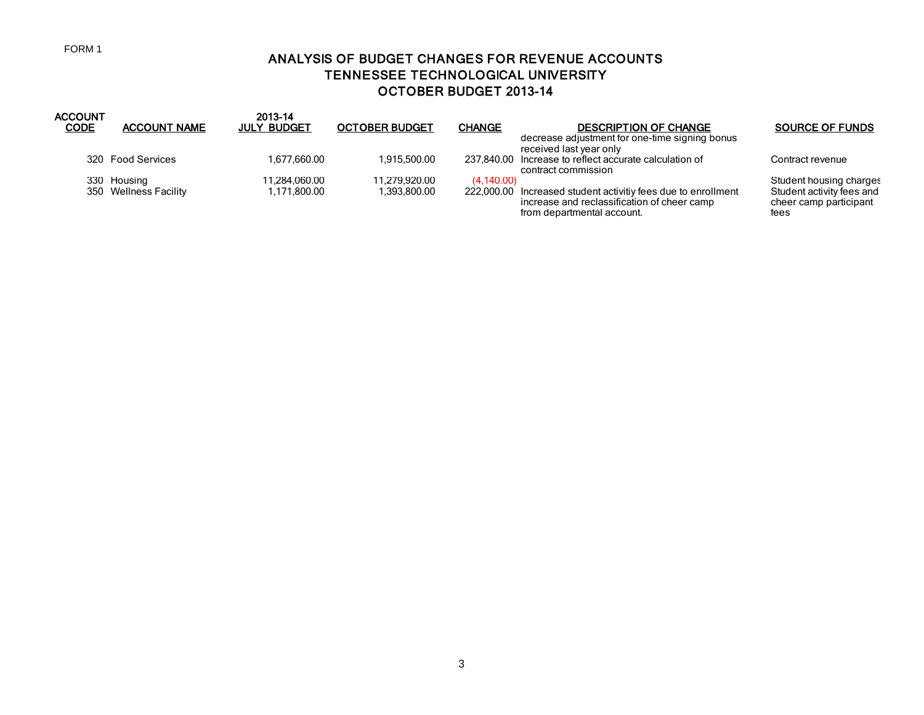### FORM 1

# ANALYSIS OF BUDGET CHANGES FOR REVENUE ACCOUNTS TENNESSEE TECHNOLOGICAL UNIVERSITY OCTOBER BUDGET 2013-14

| <b>ACCOUNT</b><br><b>CODE</b> | <b>ACCOUNT NAME</b>                  | 2013-14<br><b>JULY BUDGET</b> | <b>OCTOBER BUDGET</b>         | <b>CHANGE</b>            | <b>DESCRIPTION OF CHANGE</b>                                                                                                                    | <b>SOURCE OF FUNDS</b>                                                                 |
|-------------------------------|--------------------------------------|-------------------------------|-------------------------------|--------------------------|-------------------------------------------------------------------------------------------------------------------------------------------------|----------------------------------------------------------------------------------------|
|                               | 320 Food Services                    | 1.677.660.00                  | 1.915.500.00                  | 237.840.00               | decrease adjustment for one-time signing bonus<br>received last year only<br>Increase to reflect accurate calculation of<br>contract commission | Contract revenue                                                                       |
|                               | 330 Housing<br>350 Wellness Facility | 11.284.060.00<br>1,171,800.00 | 11.279.920.00<br>1.393.800.00 | (4.140.00)<br>222.000.00 | Increased student activitiy fees due to enrollment<br>increase and reclassification of cheer camp<br>from departmental account.                 | Student housing charges<br>Student activity fees and<br>cheer camp participant<br>fees |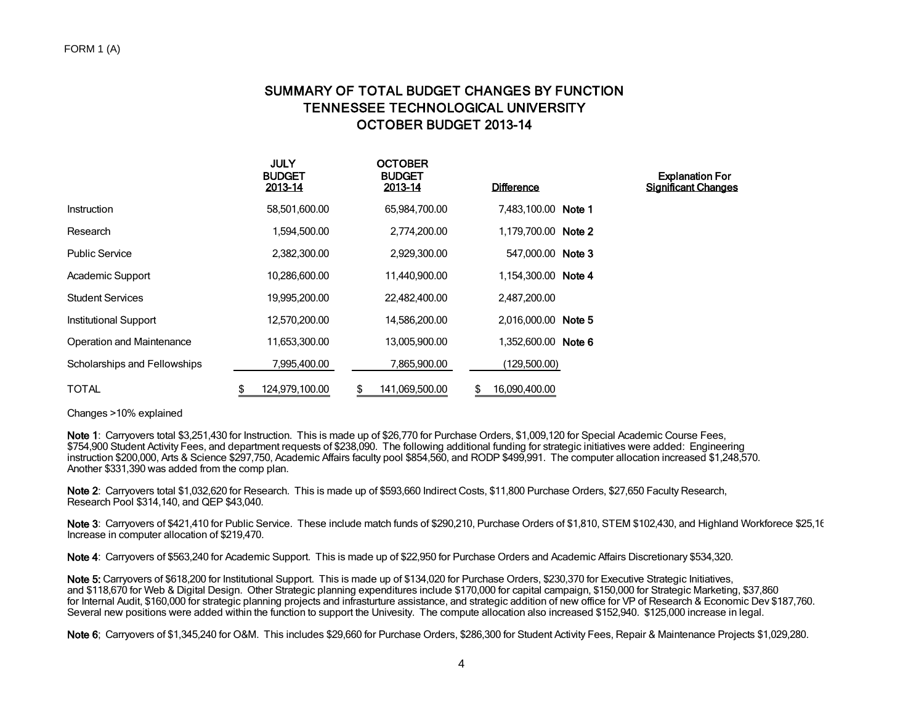# SUMMARY OF TOTAL BUDGET CHANGES BY FUNCTION TENNESSEE TECHNOLOGICAL UNIVERSITY OCTOBER BUDGET 2013-14

|                              | <b>JULY</b><br><b>BUDGET</b><br>2013-14 | <b>OCTOBER</b><br><b>BUDGET</b><br>2013-14 | <b>Difference</b>   | <b>Explanation For</b><br><b>Significant Changes</b> |
|------------------------------|-----------------------------------------|--------------------------------------------|---------------------|------------------------------------------------------|
| Instruction                  | 58,501,600.00                           | 65,984,700.00                              | 7,483,100.00 Note 1 |                                                      |
| Research                     | 1,594,500.00                            | 2,774,200.00                               | 1,179,700.00 Note 2 |                                                      |
| <b>Public Service</b>        | 2,382,300.00                            | 2,929,300.00                               | 547.000.00 Note 3   |                                                      |
| Academic Support             | 10,286,600.00                           | 11,440,900.00                              | 1,154,300.00 Note 4 |                                                      |
| <b>Student Services</b>      | 19,995,200.00                           | 22,482,400.00                              | 2,487,200.00        |                                                      |
| Institutional Support        | 12,570,200.00                           | 14,586,200.00                              | 2,016,000.00 Note 5 |                                                      |
| Operation and Maintenance    | 11,653,300.00                           | 13,005,900.00                              | 1,352,600.00 Note 6 |                                                      |
| Scholarships and Fellowships | 7.995.400.00                            | 7,865,900.00                               | (129,500.00)        |                                                      |
| <b>TOTAL</b>                 | 124,979,100.00                          | 141,069,500.00<br>S.                       | 16,090,400.00       |                                                      |

Changes >10% explained

Note 1: Carryovers total \$3,251,430 for Instruction. This is made up of \$26,770 for Purchase Orders, \$1,009,120 for Special Academic Course Fees, \$754,900 Student Activity Fees, and department requests of \$238,090. The following additional funding for strategic initiatives were added: Engineering instruction \$200,000, Arts & Science \$297,750, Academic Affairs faculty pool \$854,560, and RODP \$499,991. The computer allocation increased \$1,248,570. Another \$331,390 was added from the comp plan.

Note 2: Carryovers total \$1,032,620 for Research. This is made up of \$593,660 Indirect Costs, \$11,800 Purchase Orders, \$27,650 Faculty Research, Research Pool \$314,140, and QEP \$43,040.

Note 3: Carryovers of \$421,410 for Public Service. These include match funds of \$290,210, Purchase Orders of \$1,810, STEM \$102,430, and Highland Workforece \$25,16 Increase in computer allocation of \$219,470.

Note 4: Carryovers of \$563,240 for Academic Support. This is made up of \$22,950 for Purchase Orders and Academic Affairs Discretionary \$534,320.

Note 5: Carryovers of \$618,200 for Institutional Support. This is made up of \$134,020 for Purchase Orders, \$230,370 for Executive Strategic Initiatives, and \$118,670 for Web & Digital Design. Other Strategic planning expenditures include \$170,000 for capital campaign, \$150,000 for Strategic Marketing, \$37,860 for Internal Audit, \$160,000 for strategic planning projects and infrasturture assistance, and strategic addition of new office for VP of Research & Economic Dev \$187,760. Several new positions were added within the function to support the Univesity. The compute allocation also increased \$152,940. \$125,000 increase in legal.

Note 6; Carryovers of \$1,345,240 for O&M. This includes \$29,660 for Purchase Orders, \$286,300 for Student Activity Fees, Repair & Maintenance Projects \$1,029,280.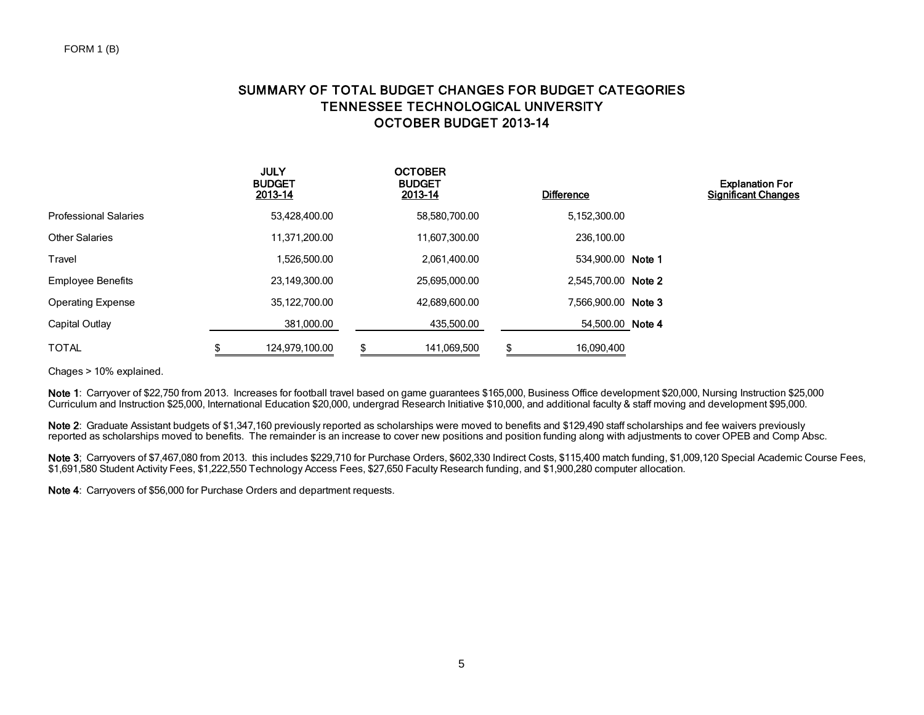# SUMMARY OF TOTAL BUDGET CHANGES FOR BUDGET CATEGORIES TENNESSEE TECHNOLOGICAL UNIVERSITY OCTOBER BUDGET 2013-14

|                              | <b>JULY</b><br><b>BUDGET</b><br>2013-14 |   | <b>OCTOBER</b><br><b>BUDGET</b><br>2013-14 | <b>Difference</b>   | <b>Explanation For</b><br><b>Significant Changes</b> |
|------------------------------|-----------------------------------------|---|--------------------------------------------|---------------------|------------------------------------------------------|
| <b>Professional Salaries</b> | 53,428,400.00                           |   | 58,580,700.00                              | 5,152,300.00        |                                                      |
| <b>Other Salaries</b>        | 11,371,200.00                           |   | 11,607,300.00                              | 236.100.00          |                                                      |
| Travel                       | 1,526,500.00                            |   | 2,061,400.00                               | 534,900.00 Note 1   |                                                      |
| <b>Employee Benefits</b>     | 23,149,300.00                           |   | 25,695,000.00                              | 2,545,700.00 Note 2 |                                                      |
| <b>Operating Expense</b>     | 35,122,700.00                           |   | 42,689,600.00                              | 7.566.900.00 Note 3 |                                                      |
| Capital Outlay               | 381,000.00                              |   | 435,500.00                                 | 54,500.00 Note 4    |                                                      |
| <b>TOTAL</b>                 | \$<br>124,979,100.00                    | S | 141,069,500                                | \$<br>16.090.400    |                                                      |

Chages > 10% explained.

Note 1: Carryover of \$22,750 from 2013. Increases for football travel based on game guarantees \$165,000, Business Office development \$20,000, Nursing Instruction \$25,000 Curriculum and Instruction \$25,000, International Education \$20,000, undergrad Research Initiative \$10,000, and additional faculty & staff moving and development \$95,000.

Note 2: Graduate Assistant budgets of \$1,347,160 previously reported as scholarships were moved to benefits and \$129,490 staff scholarships and fee waivers previously reported as scholarships moved to benefits. The remainder is an increase to cover new positions and position funding along with adjustments to cover OPEB and Comp Absc.

Note 3; Carryovers of \$7,467,080 from 2013. this includes \$229,710 for Purchase Orders, \$602,330 Indirect Costs, \$115,400 match funding, \$1,009,120 Special Academic Course Fees, \$1,691,580 Student Activity Fees, \$1,222,550 Technology Access Fees, \$27,650 Faculty Research funding, and \$1,900,280 computer allocation.

Note 4: Carryovers of \$56,000 for Purchase Orders and department requests.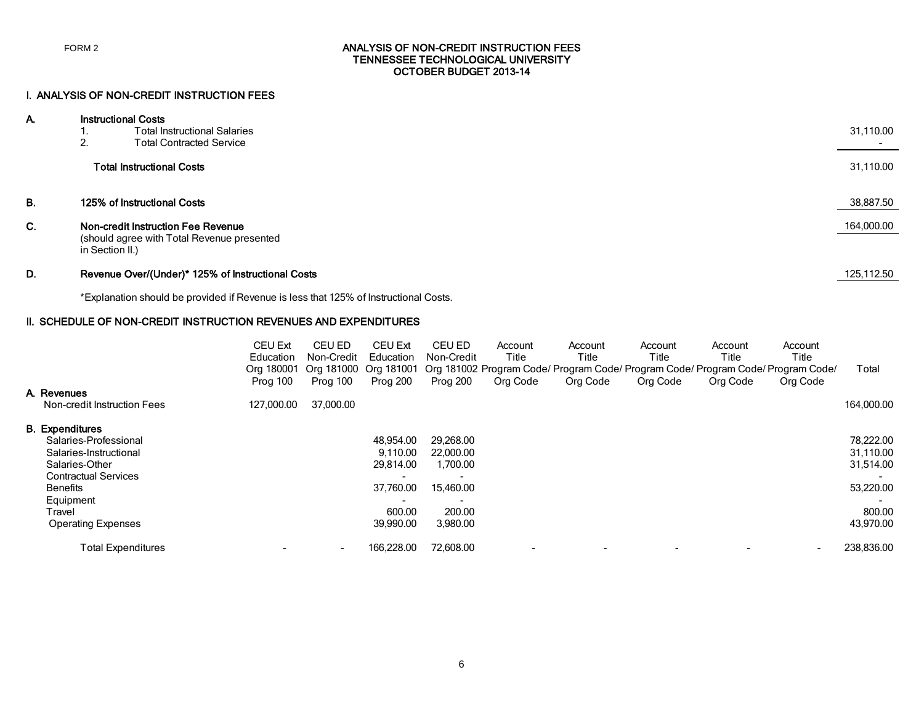### ANALYSIS OF NON-CREDIT INSTRUCTION FEES TENNESSEE TECHNOLOGICAL UNIVERSITY OCTOBER BUDGET 2013-14

### I. ANALYSIS OF NON-CREDIT INSTRUCTION FEES

| А. |                 | <b>Instructional Costs</b>                                                       |            |  |  |  |  |
|----|-----------------|----------------------------------------------------------------------------------|------------|--|--|--|--|
|    | . .             | <b>Total Instructional Salaries</b>                                              | 31,110.00  |  |  |  |  |
|    | 2.              | <b>Total Contracted Service</b>                                                  |            |  |  |  |  |
|    |                 | <b>Total Instructional Costs</b>                                                 | 31,110.00  |  |  |  |  |
| В. |                 | 125% of Instructional Costs                                                      | 38,887.50  |  |  |  |  |
| С. | in Section II.) | Non-credit Instruction Fee Revenue<br>(should agree with Total Revenue presented | 164,000.00 |  |  |  |  |

### D. Revenue Over/(Under)\* 125% of Instructional Costs 125,112.50

\*Explanation should be provided if Revenue is less that 125% of Instructional Costs.

### II. SCHEDULE OF NON-CREDIT INSTRUCTION REVENUES AND EXPENDITURES

|                             | <b>CEU Ext</b> | CEU ED     | <b>CEU Ext</b> | <b>CEU ED</b> | Account  | Account                                                                          | Account  | Account  | Account  |            |
|-----------------------------|----------------|------------|----------------|---------------|----------|----------------------------------------------------------------------------------|----------|----------|----------|------------|
|                             | Education      | Non-Credit | Education      | Non-Credit    | Title    | Title                                                                            | Title    | Title    | Title    |            |
|                             | Ora 180001     | Ora 181000 | Org 181001     |               |          | Org 181002 Program Code/ Program Code/ Program Code/ Program Code/ Program Code/ |          |          |          | Total      |
|                             | Prog 100       | Prog 100   | Prog 200       | Prog 200      | Org Code | Org Code                                                                         | Org Code | Org Code | Org Code |            |
| A. Revenues                 |                |            |                |               |          |                                                                                  |          |          |          |            |
| Non-credit Instruction Fees | 127,000.00     | 37,000.00  |                |               |          |                                                                                  |          |          |          | 164,000.00 |
| <b>B.</b> Expenditures      |                |            |                |               |          |                                                                                  |          |          |          |            |
| Salaries-Professional       |                |            | 48,954.00      | 29,268.00     |          |                                                                                  |          |          |          | 78,222.00  |
| Salaries-Instructional      |                |            | 9.110.00       | 22,000.00     |          |                                                                                  |          |          |          | 31,110.00  |
| Salaries-Other              |                |            | 29.814.00      | 1,700.00      |          |                                                                                  |          |          |          | 31,514.00  |
| <b>Contractual Services</b> |                |            |                |               |          |                                                                                  |          |          |          |            |
| Benefits                    |                |            | 37.760.00      | 15,460.00     |          |                                                                                  |          |          |          | 53,220.00  |
| Equipment                   |                |            | $\,$           |               |          |                                                                                  |          |          |          |            |
| Travel                      |                |            | 600.00         | 200.00        |          |                                                                                  |          |          |          | 800.00     |
| <b>Operating Expenses</b>   |                |            | 39,990.00      | 3,980.00      |          |                                                                                  |          |          |          | 43,970.00  |
| <b>Total Expenditures</b>   |                | $\,$ $\,$  | 166.228.00     | 72,608.00     |          |                                                                                  |          |          |          | 238,836.00 |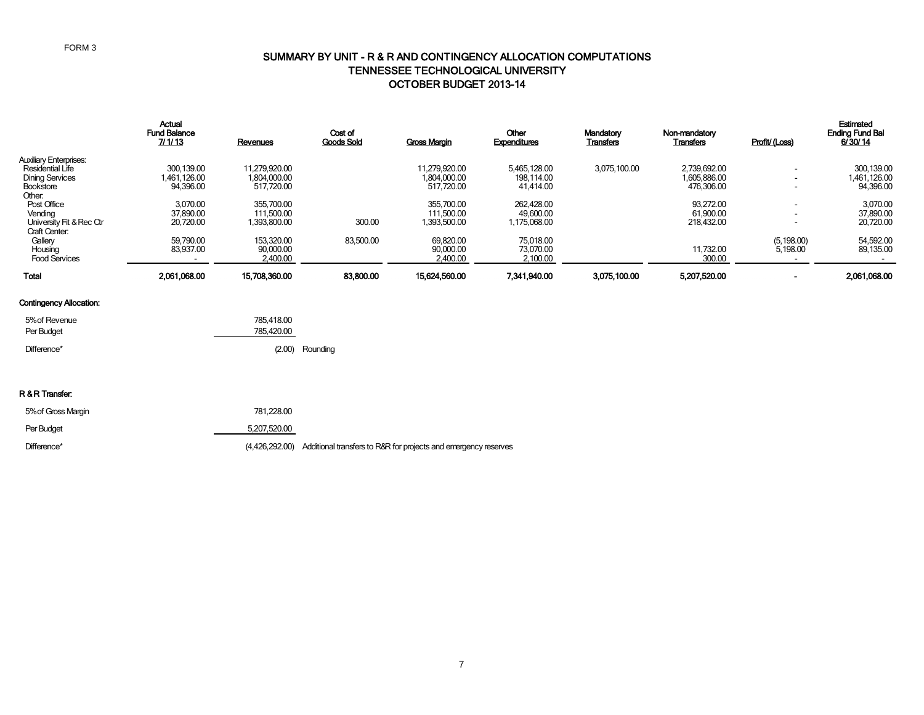### SUMMARY BY UNIT - R & R AND CONTINGENCY ALLOCATION COMPUTATIONS TENNESSEE TECHNOLOGICAL UNIVERSITY OCTOBER BUDGET 2013-14

|                               | <b>Actual</b><br><b>Fund Balance</b><br>7/1/13 | Revenues      | Cost of<br><b>Goods Sold</b> | <b>Gross Margin</b> | <b>Other</b><br>Expenditures | Mandatory<br><b>Transfers</b> | Non-mandatory<br><b>Transfers</b> | Profit/(Loss)            | Estimated<br><b>Ending Fund Bal</b><br>6/30/14 |
|-------------------------------|------------------------------------------------|---------------|------------------------------|---------------------|------------------------------|-------------------------------|-----------------------------------|--------------------------|------------------------------------------------|
| <b>Auxiliary Enterprises:</b> |                                                |               |                              |                     |                              |                               |                                   |                          |                                                |
| <b>Residential Life</b>       | 300.139.00                                     | 11.279.920.00 |                              | 11.279.920.00       | 5.465.128.00                 | 3.075.100.00                  | 2.739.692.00                      | $\overline{\phantom{a}}$ | 300,139.00                                     |
| <b>Dining Services</b>        | 1.461.126.00                                   | 1,804,000.00  |                              | 1.804.000.00        | 198.114.00                   |                               | 1,605,886.00                      | $\blacksquare$           | 1,461,126.00                                   |
| <b>Bookstore</b>              | 94.396.00                                      | 517,720.00    |                              | 517.720.00          | 41.414.00                    |                               | 476,306.00                        | -                        | 94,396.00                                      |
| Other:                        |                                                |               |                              |                     |                              |                               |                                   |                          |                                                |
| Post Office                   | 3.070.00                                       | 355,700.00    |                              | 355.700.00          | 262.428.00                   |                               | 93.272.00                         | -                        | 3,070.00                                       |
| Vending                       | 37.890.00                                      | 111,500.00    |                              | 111.500.00          | 49,600.00                    |                               | 61,900.00                         | $\overline{\phantom{0}}$ | 37,890.00                                      |
| University Fit & Rec Ctr      | 20,720.00                                      | 1,393,800.00  | 300.00                       | 1,393,500.00        | 1,175,068.00                 |                               | 218,432.00                        | $\overline{\phantom{0}}$ | 20,720.00                                      |
| <b>Craft Center:</b>          |                                                |               |                              |                     |                              |                               |                                   |                          |                                                |
| Gallery                       | 59.790.00                                      | 153.320.00    | 83.500.00                    | 69,820.00           | 75.018.00                    |                               |                                   | (5, 198.00)              | 54,592.00                                      |
| Housing                       | 83.937.00                                      | 90.000.00     |                              | 90.000.00           | 73.070.00                    |                               | 11.732.00                         | 5.198.00                 | 89,135.00                                      |
| <b>Food Services</b>          |                                                | 2,400.00      |                              | 2,400.00            | 2,100.00                     |                               | 300.00                            |                          |                                                |
| <b>Total</b>                  | 2.061.068.00                                   | 15,708,360.00 | 83,800,00                    | 15.624.560.00       | 7.341.940.00                 | 3,075,100.00                  | 5.207.520.00                      |                          | 2,061,068.00                                   |

### Contingency Allocation:

| 5% of Revenue<br>Per Budget | 785.418.00<br>785.420.00 |                 |
|-----------------------------|--------------------------|-----------------|
| Difference*                 |                          | (2.00) Rounding |

#### R & R Transfer:

| 5% of Gross Margin | 781.228.00   |                                                                                |
|--------------------|--------------|--------------------------------------------------------------------------------|
| Per Budget         | 5.207.520.00 |                                                                                |
| Difference*        |              | (4,426,292.00) Additional transfers to R&R for projects and emergency reserves |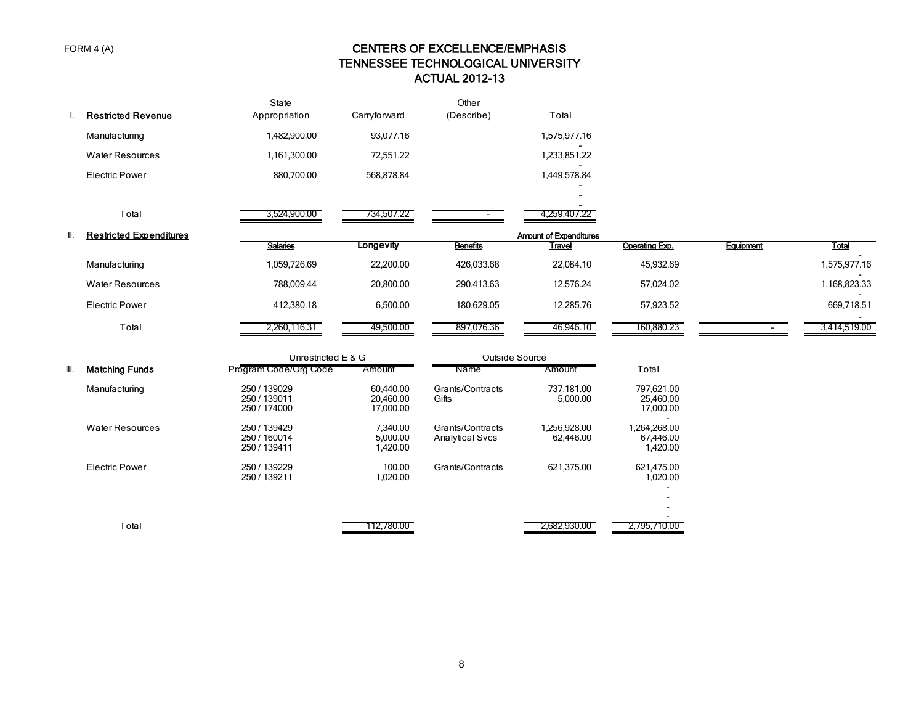# CENTERS OF EXCELLENCE/EMPHASIS TENNESSEE TECHNOLOGICAL UNIVERSITY ACTUAL 2012-13

|      | I. Restricted Revenue          | State<br>Appropriation                       | Carryforward                        | Other<br>(Describe)                        | Total                         |                                       |           |              |
|------|--------------------------------|----------------------------------------------|-------------------------------------|--------------------------------------------|-------------------------------|---------------------------------------|-----------|--------------|
|      | Manufacturing                  | 1,482,900.00                                 | 93,077.16                           |                                            | 1,575,977.16                  |                                       |           |              |
|      | <b>Water Resources</b>         | 1,161,300.00                                 | 72,551.22                           |                                            | 1,233,851.22                  |                                       |           |              |
|      | <b>Electric Power</b>          | 880,700.00                                   | 568,878.84                          |                                            | 1,449,578.84                  |                                       |           |              |
|      |                                |                                              |                                     |                                            |                               |                                       |           |              |
|      | Total                          | 3,524,900.00                                 | 734,507.22                          |                                            | 4,259,407.22                  |                                       |           |              |
| II.  | <b>Restricted Expenditures</b> |                                              |                                     |                                            | <b>Amount of Expenditures</b> |                                       |           |              |
|      |                                | <b>Salaries</b>                              | Longevity                           | <b>Benefits</b>                            | <b>Travel</b>                 | Operating Exp.                        | Equipment | <b>Total</b> |
|      | Manufacturing                  | 1,059,726.69                                 | 22,200.00                           | 426,033.68                                 | 22,084.10                     | 45,932.69                             |           | 1,575,977.16 |
|      | <b>Water Resources</b>         | 788,009.44                                   | 20,800.00                           | 290,413.63                                 | 12,576.24                     | 57,024.02                             |           | 1,168,823.33 |
|      | <b>Electric Power</b>          | 412,380.18                                   | 6,500.00                            | 180,629.05                                 | 12,285.76                     | 57,923.52                             |           | 669,718.51   |
|      | Total                          | 2,260,116.31                                 | 49,500.00                           | 897,076.36                                 | 46,946.10                     | 160,880.23                            |           | 3,414,519.00 |
|      |                                | Unrestricted E & G                           |                                     |                                            | Outside Source                |                                       |           |              |
| III. | <b>Matching Funds</b>          | Program Code/Org Code                        | Amount                              | Name                                       | Amount                        | Total                                 |           |              |
|      | Manufacturing                  | 250 / 139029<br>250 / 139011<br>250 / 174000 | 60,440.00<br>20,460.00<br>17,000.00 | Grants/Contracts<br>Gifts                  | 737,181.00<br>5,000.00        | 797.621.00<br>25,460.00<br>17,000.00  |           |              |
|      | <b>Water Resources</b>         | 250 / 139429<br>250 / 160014<br>250 / 139411 | 7,340.00<br>5,000.00<br>1,420.00    | Grants/Contracts<br><b>Analytical Svcs</b> | 1,256,928.00<br>62,446.00     | 1,264,268.00<br>67,446.00<br>1,420.00 |           |              |
|      | <b>Electric Power</b>          | 250 / 139229<br>250 / 139211                 | 100.00<br>1,020.00                  | Grants/Contracts                           | 621,375.00                    | 621,475.00<br>1,020.00                |           |              |
|      |                                |                                              |                                     |                                            |                               |                                       |           |              |
|      | Total                          |                                              | 112,780.00                          |                                            | 2,682,930.00                  | 2,795,710.00                          |           |              |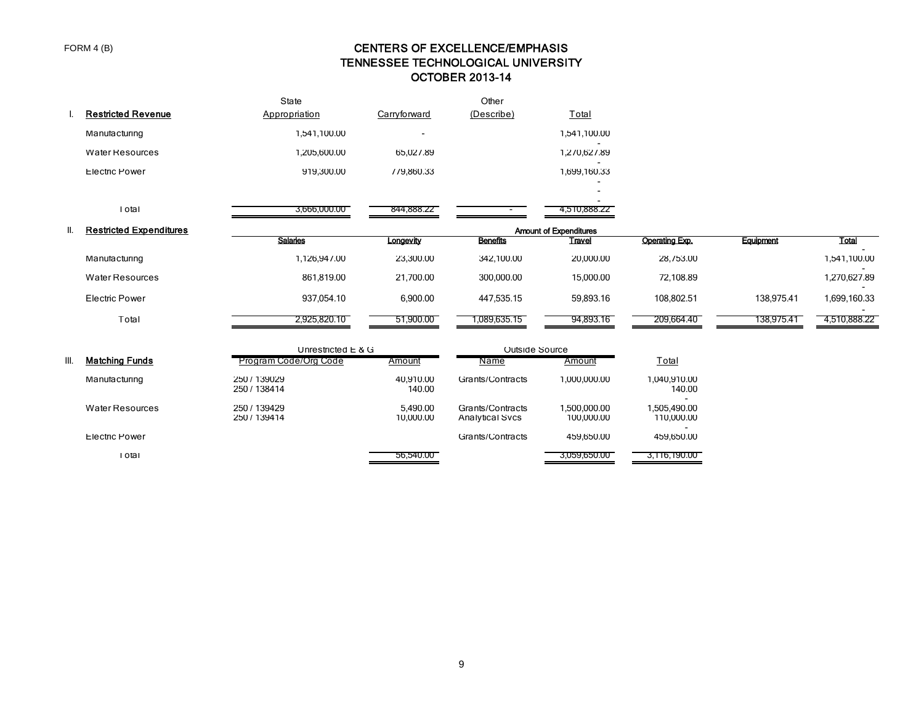# CENTERS OF EXCELLENCE/EMPHASIS TENNESSEE TECHNOLOGICAL UNIVERSITY OCTOBER 2013-14

|      | <b>Restricted Revenue</b>      | State<br>Appropriation       | Carryforward             | Other<br>(Describe)                        | Total                         |                            |            |              |
|------|--------------------------------|------------------------------|--------------------------|--------------------------------------------|-------------------------------|----------------------------|------------|--------------|
|      | Manufacturing                  | 1,541,100.00                 | $\overline{\phantom{a}}$ |                                            | 1,541,100.00                  |                            |            |              |
|      | <b>Water Resources</b>         | 1,205,600.00                 | 65,027.89                |                                            | 1,270,627.89                  |                            |            |              |
|      | <b>Electric Power</b>          | 919,300.00                   | 779,860.33               |                                            | 1,699,160.33                  |                            |            |              |
|      |                                |                              |                          |                                            |                               |                            |            |              |
|      | I otal                         | 3,666,000.00                 | 844,888.22               |                                            | 4,510,888.22                  |                            |            |              |
| Ш.   | <b>Restricted Expenditures</b> |                              |                          |                                            | <b>Amount of Expenditures</b> |                            |            |              |
|      |                                | <b>Salaries</b>              | Longevity                | <b>Benefits</b>                            | <b>Travel</b>                 | <b>Operating Exp.</b>      | Equipment  | Total        |
|      | Manufacturing                  | 1,126,947.00                 | 23,300.00                | 342,100.00                                 | 20,000.00                     | 28,753.00                  |            | 1,541,100.00 |
|      | <b>Water Resources</b>         | 861,819.00                   | 21,700.00                | 300,000.00                                 | 15,000.00                     | 72,108.89                  |            | 1,270,627.89 |
|      | Electric Power                 | 937,054.10                   | 6,900.00                 | 447,535.15                                 | 59,893.16                     | 108,802.51                 | 138,975.41 | 1,699,160.33 |
|      | Total                          | 2,925,820.10                 | 51,900.00                | 1,089,635.15                               | 94,893.16                     | 209,664.40                 | 138,975.41 | 4,510,888.22 |
|      |                                | Unrestricted $E$ & G         |                          | Outside Source                             |                               |                            |            |              |
| III. | <b>Matching Funds</b>          | Program Code/Org Code        | Amount                   | Name                                       | Amount                        | Total                      |            |              |
|      | Manufacturing                  | 250 / 139029<br>250 / 138414 | 40,910.00<br>140.00      | Grants/Contracts                           | 1,000,000.00                  | 1,040,910.00<br>140.00     |            |              |
|      | <b>Water Resources</b>         | 250 / 139429<br>250 / 139414 | 5,490.00<br>10,000.00    | Grants/Contracts<br><b>Analytical Svcs</b> | 1,500,000.00<br>100,000.00    | 1,505,490.00<br>110,000.00 |            |              |
|      | <b>Electric Power</b>          |                              |                          | Grants/Contracts                           | 459,650.00                    | 459,650.00                 |            |              |
|      | I otal                         |                              | 56,540.00                |                                            | 3,059,650.00                  | 3,116,190.00               |            |              |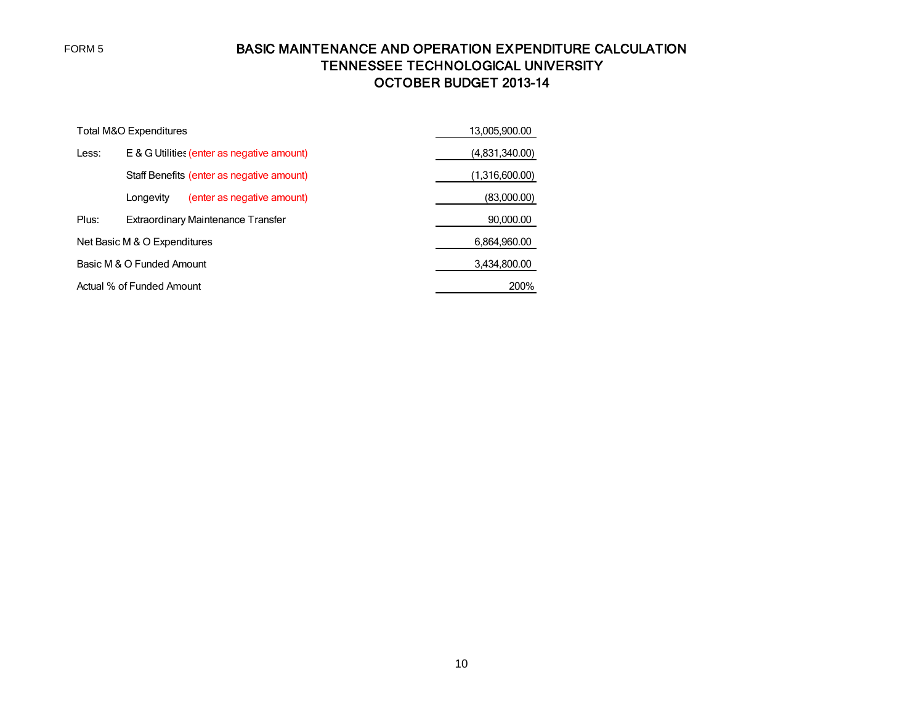FORM 5

# BASIC MAINTENANCE AND OPERATION EXPENDITURE CALCULATION TENNESSEE TECHNOLOGICAL UNIVERSITY OCTOBER BUDGET 2013-14

|       | Total M&O Expenditures                     | 13,005,900.00  |
|-------|--------------------------------------------|----------------|
| Less: | E & G Utilities (enter as negative amount) | (4,831,340.00) |
|       | Staff Benefits (enter as negative amount)  | (1.316,600.00) |
|       | (enter as negative amount)<br>Longevity    | (83,000.00)    |
| Plus: | Extraordinary Maintenance Transfer         | 90,000.00      |
|       | Net Basic M & O Expenditures               | 6,864,960.00   |
|       | Basic M & O Funded Amount                  | 3,434,800.00   |
|       | Actual % of Funded Amount                  | 200%           |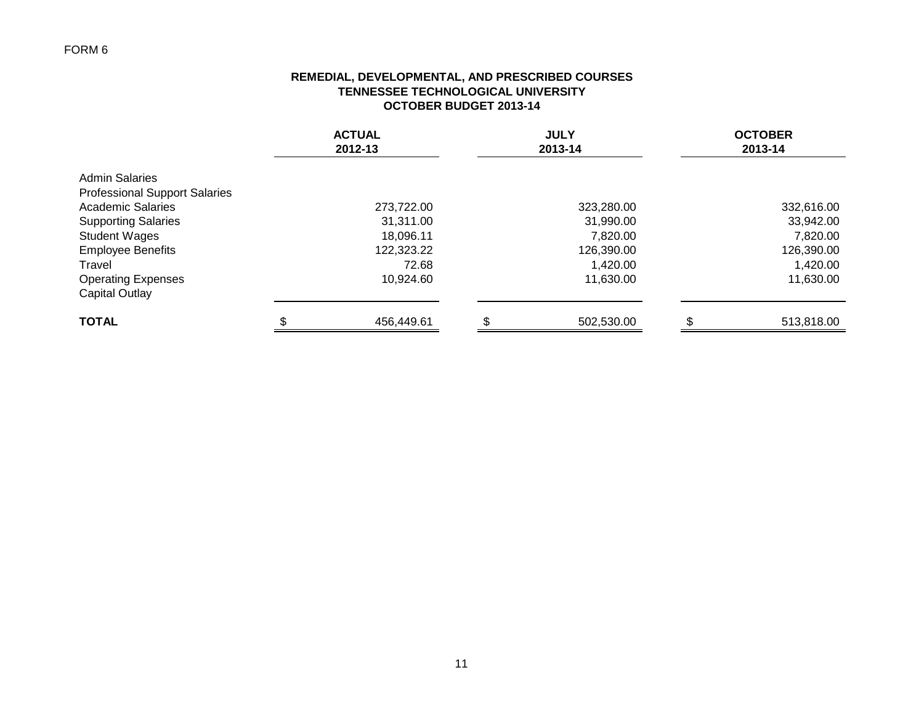### **REMEDIAL, DEVELOPMENTAL, AND PRESCRIBED COURSES TENNESSEE TECHNOLOGICAL UNIVERSITY OCTOBER BUDGET 2013-14**

|                                                               | <b>ACTUAL</b><br>2012-13 | <b>JULY</b><br>2013-14 | <b>OCTOBER</b><br>2013-14 |
|---------------------------------------------------------------|--------------------------|------------------------|---------------------------|
| <b>Admin Salaries</b><br><b>Professional Support Salaries</b> |                          |                        |                           |
| <b>Academic Salaries</b>                                      | 273,722.00               | 323,280.00             | 332,616.00                |
| <b>Supporting Salaries</b>                                    | 31,311.00                | 31,990.00              | 33,942.00                 |
| <b>Student Wages</b>                                          | 18,096.11                | 7,820.00               | 7,820.00                  |
| <b>Employee Benefits</b>                                      | 122,323.22               | 126,390.00             | 126,390.00                |
| Travel                                                        | 72.68                    | 1,420.00               | 1,420.00                  |
| <b>Operating Expenses</b><br>Capital Outlay                   | 10,924.60                | 11,630.00              | 11,630.00                 |
| <b>TOTAL</b>                                                  | 456,449.61               | 502,530.00             | 513,818.00                |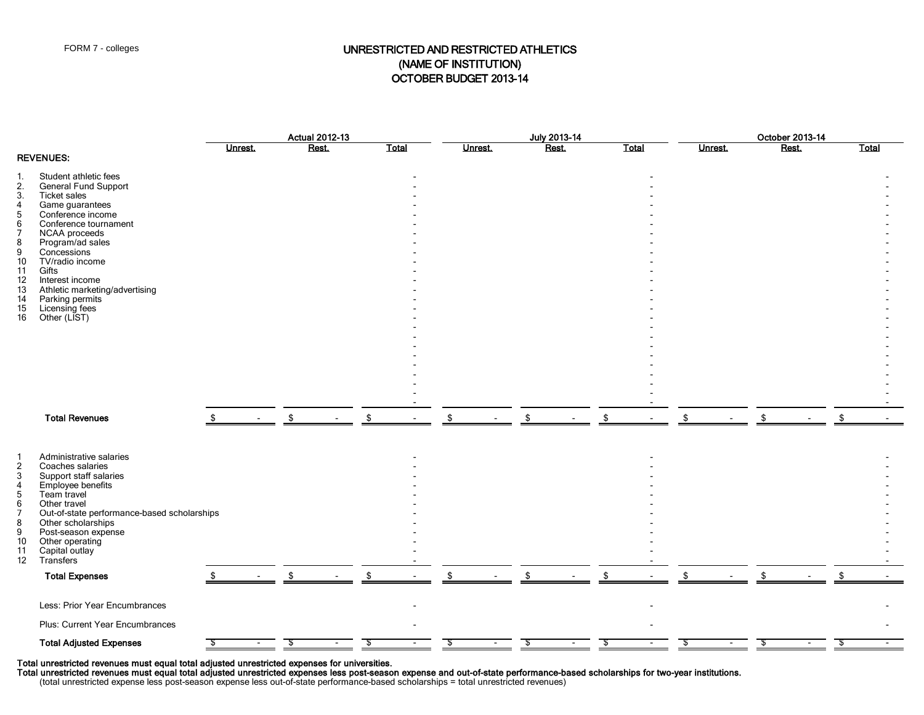### FORM 7 - colleges **EXECUTED AND RESTRICTED ATHLETICS** (NAME OF INSTITUTION) OCTOBER BUDGET 2013-14

|                                                                                                                                                |                                                                                                                                                                                                                                                                                                                                                            |         |  | <b>Actual 2012-13</b> |              |                | July 2013-14 |       |  |         | October 2013-14 |              |  |
|------------------------------------------------------------------------------------------------------------------------------------------------|------------------------------------------------------------------------------------------------------------------------------------------------------------------------------------------------------------------------------------------------------------------------------------------------------------------------------------------------------------|---------|--|-----------------------|--------------|----------------|--------------|-------|--|---------|-----------------|--------------|--|
|                                                                                                                                                |                                                                                                                                                                                                                                                                                                                                                            | Unrest. |  | <b>Rest</b>           | <b>Total</b> | <b>Unrest.</b> | Rest.        | Total |  | Unrest. | Rest.           | <b>Total</b> |  |
| 1.<br>2.<br>3.<br>$\begin{array}{c} 4 \\ 5 \end{array}$<br>6<br>$\overline{7}$<br>8<br>9<br>10<br>11<br>12<br>13<br>14<br>15<br>16             | <b>REVENUES:</b><br>Student athletic fees<br><b>General Fund Support</b><br><b>Ticket sales</b><br>Game guarantees<br>Conference income<br>Conference tournament<br>NCAA proceeds<br>Program/ad sales<br>Concessions<br>TV/radio income<br>Gifts<br>Interest income<br>Athletic marketing/advertising<br>Parking permits<br>Licensing fees<br>Other (LIST) |         |  |                       |              |                |              |       |  |         |                 |              |  |
|                                                                                                                                                |                                                                                                                                                                                                                                                                                                                                                            |         |  |                       |              |                |              |       |  |         |                 |              |  |
|                                                                                                                                                | <b>Total Revenues</b>                                                                                                                                                                                                                                                                                                                                      |         |  |                       |              |                |              |       |  |         |                 |              |  |
| $\mathbf{1}$<br>$\overline{\mathbf{c}}$<br>3<br>$\overline{4}$<br>$\sqrt{5}$<br>6<br>$\overline{7}$<br>8<br>9<br>10<br>11<br>$12 \overline{ }$ | Administrative salaries<br>Coaches salaries<br>Support staff salaries<br>Employee benefits<br>Team travel<br>Other travel<br>Out-of-state performance-based scholarships<br>Other scholarships<br>Post-season expense<br>Other operating<br>Capital outlay<br>Transfers<br><b>Total Expenses</b>                                                           |         |  |                       |              | \$             |              |       |  |         |                 |              |  |
|                                                                                                                                                | Less: Prior Year Encumbrances                                                                                                                                                                                                                                                                                                                              |         |  |                       |              |                |              |       |  |         |                 |              |  |
|                                                                                                                                                | Plus: Current Year Encumbrances                                                                                                                                                                                                                                                                                                                            |         |  |                       |              |                |              |       |  |         |                 |              |  |
|                                                                                                                                                | <b>Total Adjusted Expenses</b>                                                                                                                                                                                                                                                                                                                             |         |  |                       |              |                |              |       |  |         |                 |              |  |

Total unrestricted revenues must equal total adjusted unrestricted expenses for universities.

Total unrestricted revenues must equal total adjusted unrestricted expenses less post-season expense and out-of-state performance-based scholarships for two-year institutions.

(total unrestricted expense less post-season expense less out-of-state performance-based scholarships = total unrestricted revenues)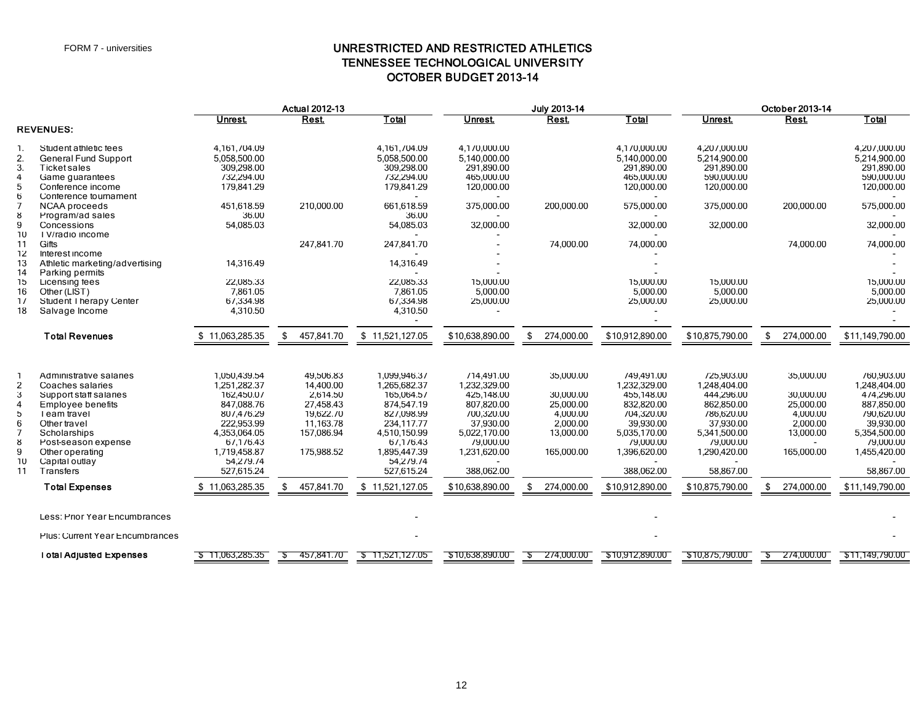## UNRESTRICTED AND RESTRICTED ATHLETICS TENNESSEE TECHNOLOGICAL UNIVERSITY OCTOBER BUDGET 2013-14

|                                                                             |                                                                                                                                                                                                                                                    |                                                                                                                                                                                 | <b>Actual 2012-13</b>                                                                                                     |                                                                                                                                                                                 |                                                                                                                                                                 | July 2013-14                                                                                               |                                                                                                                                                                 |                                                                                                                                                                | October 2013-14                                                                                            |                                                                                                                                                                |  |  |
|-----------------------------------------------------------------------------|----------------------------------------------------------------------------------------------------------------------------------------------------------------------------------------------------------------------------------------------------|---------------------------------------------------------------------------------------------------------------------------------------------------------------------------------|---------------------------------------------------------------------------------------------------------------------------|---------------------------------------------------------------------------------------------------------------------------------------------------------------------------------|-----------------------------------------------------------------------------------------------------------------------------------------------------------------|------------------------------------------------------------------------------------------------------------|-----------------------------------------------------------------------------------------------------------------------------------------------------------------|----------------------------------------------------------------------------------------------------------------------------------------------------------------|------------------------------------------------------------------------------------------------------------|----------------------------------------------------------------------------------------------------------------------------------------------------------------|--|--|
|                                                                             |                                                                                                                                                                                                                                                    | Unrest.                                                                                                                                                                         | Rest.                                                                                                                     | Total                                                                                                                                                                           | Unrest.                                                                                                                                                         | Rest.                                                                                                      | Total                                                                                                                                                           | <b>Unrest</b>                                                                                                                                                  | <b>Rest</b>                                                                                                | Total                                                                                                                                                          |  |  |
|                                                                             | <b>REVENUES:</b>                                                                                                                                                                                                                                   |                                                                                                                                                                                 |                                                                                                                           |                                                                                                                                                                                 |                                                                                                                                                                 |                                                                                                            |                                                                                                                                                                 |                                                                                                                                                                |                                                                                                            |                                                                                                                                                                |  |  |
| 1.<br>2.<br>3.<br>4<br>5                                                    | Student athletic fees<br>General Fund Support<br><b>Ticket sales</b><br>Game guarantees<br>Conference income                                                                                                                                       | 4,161,704.09<br>5,058,500.00<br>309,298.00<br>732,294.00<br>179,841.29                                                                                                          |                                                                                                                           | 4,161,704.09<br>5,058,500.00<br>309,298.00<br>732,294.00<br>179,841.29                                                                                                          | 4,170,000.00<br>5,140,000.00<br>291,890.00<br>465,000.00<br>120,000.00                                                                                          |                                                                                                            | 4,170,000.00<br>5,140,000.00<br>291,890.00<br>465,000.00<br>120,000.00                                                                                          | 4,207,000.00<br>5,214,900.00<br>291,890.00<br>590,000.00<br>120,000.00                                                                                         |                                                                                                            | 4,207,000.00<br>5,214,900.00<br>291,890.00<br>590,000.00<br>120,000.00                                                                                         |  |  |
| 6<br>$\overline{7}$<br>8<br>9                                               | Conference tournament<br><b>NCAA</b> proceeds<br>Program/ad sales<br>Concessions                                                                                                                                                                   | 451,618.59<br>36.00<br>54,085.03                                                                                                                                                | 210,000.00                                                                                                                | 661,618.59<br>36.00<br>54,085.03                                                                                                                                                | 375,000.00<br>32,000.00                                                                                                                                         | 200,000.00                                                                                                 | 575,000.00<br>32,000.00                                                                                                                                         | 375,000.00<br>32,000.00                                                                                                                                        | 200,000.00                                                                                                 | 575,000.00<br>32,000.00                                                                                                                                        |  |  |
| 10<br>11<br>12<br>13                                                        | TV/radio income<br>Gifts<br>Interest income<br>Athletic marketing/advertising                                                                                                                                                                      | 14,316.49                                                                                                                                                                       | 247,841.70                                                                                                                | 247,841.70<br>14,316.49                                                                                                                                                         |                                                                                                                                                                 | 74,000.00                                                                                                  | 74,000.00                                                                                                                                                       |                                                                                                                                                                | 74,000.00                                                                                                  | 74,000.00                                                                                                                                                      |  |  |
| 14<br>15<br>16<br>17<br>18                                                  | Parking permits<br>Licensing fees<br>Other (LIST)<br>Student Therapy Center<br>Salvage Income                                                                                                                                                      | 22,085.33<br>7,861.05<br>67,334.98<br>4,310.50                                                                                                                                  |                                                                                                                           | 22.085.33<br>7,861.05<br>67,334.98<br>4,310.50                                                                                                                                  | 15,000.00<br>5,000.00<br>25,000.00                                                                                                                              |                                                                                                            | 15,000.00<br>5,000.00<br>25,000.00                                                                                                                              | 15.000.00<br>5,000.00<br>25,000.00                                                                                                                             |                                                                                                            | 15,000.00<br>5,000.00<br>25,000.00                                                                                                                             |  |  |
|                                                                             | <b>Total Revenues</b>                                                                                                                                                                                                                              | \$11,063,285.35                                                                                                                                                                 | \$<br>457,841.70                                                                                                          | \$11,521,127.05                                                                                                                                                                 | \$10,638,890.00                                                                                                                                                 | 274,000.00<br>\$                                                                                           | \$10,912,890.00                                                                                                                                                 | \$10,875,790.00                                                                                                                                                | 274,000.00<br>\$                                                                                           | \$11,149,790.00                                                                                                                                                |  |  |
| -1<br>$\overline{2}$<br>3<br>$\overline{4}$<br>5<br>6<br>8<br>9<br>10<br>11 | Administrative salaries<br>Coaches salaries<br>Support staff salaries<br><b>Employee benefits</b><br>Team travel<br>Other travel<br>Scholarships<br>Post-season expense<br>Other operating<br>Capital outlay<br>Transfers<br><b>Total Expenses</b> | 1,050,439.54<br>1,251,282.37<br>162,450.07<br>847,088.76<br>807,476.29<br>222,953.99<br>4,353,064.05<br>67,176.43<br>1,719,458.87<br>54,279.74<br>527,615.24<br>\$11,063,285.35 | 49,506.83<br>14,400.00<br>2,614.50<br>27,458.43<br>19,622.70<br>11,163.78<br>157,086.94<br>175,988.52<br>457,841.70<br>\$ | 1,099,946.37<br>1,265,682.37<br>165,064.57<br>874,547.19<br>827,098.99<br>234,117.77<br>4,510,150.99<br>67,176.43<br>1,895,447.39<br>54,2/9./4<br>527,615.24<br>\$11,521,127.05 | 714,491.00<br>1,232,329.00<br>425,148.00<br>807,820.00<br>700,320.00<br>37,930.00<br>5,022,170.00<br>79,000.00<br>1,231,620.00<br>388,062.00<br>\$10,638,890.00 | 35,000.00<br>30.000.00<br>25,000.00<br>4,000.00<br>2,000.00<br>13,000.00<br>165,000.00<br>274,000.00<br>\$ | 749,491.00<br>1,232,329.00<br>455,148.00<br>832,820.00<br>704,320.00<br>39,930.00<br>5,035,170.00<br>79,000.00<br>1,396,620.00<br>388,062.00<br>\$10,912,890.00 | 725,903.00<br>1,248,404.00<br>444,296.00<br>862,850.00<br>786,620.00<br>37,930.00<br>5,341,500.00<br>79,000.00<br>1,290,420.00<br>58,867.00<br>\$10,875,790.00 | 35,000.00<br>30,000.00<br>25,000.00<br>4,000.00<br>2,000.00<br>13,000.00<br>165,000.00<br>274,000.00<br>\$ | 760,903.00<br>1,248,404.00<br>474,296.00<br>887,850.00<br>790,620.00<br>39,930.00<br>5,354,500.00<br>79,000.00<br>1,455,420.00<br>58,867.00<br>\$11,149,790.00 |  |  |
|                                                                             |                                                                                                                                                                                                                                                    |                                                                                                                                                                                 |                                                                                                                           |                                                                                                                                                                                 |                                                                                                                                                                 |                                                                                                            |                                                                                                                                                                 |                                                                                                                                                                |                                                                                                            |                                                                                                                                                                |  |  |
|                                                                             | Less: Prior Year Encumbrances<br><b>Plus: Current Year Encumbrances</b>                                                                                                                                                                            |                                                                                                                                                                                 |                                                                                                                           |                                                                                                                                                                                 |                                                                                                                                                                 |                                                                                                            |                                                                                                                                                                 |                                                                                                                                                                |                                                                                                            |                                                                                                                                                                |  |  |
|                                                                             | <b>Total Adjusted Expenses</b>                                                                                                                                                                                                                     | \$11,063,285.35                                                                                                                                                                 | 457,841.70<br>-22                                                                                                         | \$11,521,127.05                                                                                                                                                                 | \$10,638,890.00                                                                                                                                                 | 274,000.00<br>-Տ                                                                                           | \$10,912,890.00                                                                                                                                                 | \$10,875,790.00                                                                                                                                                | 274,000.00<br>-25                                                                                          | \$11,149,790.00                                                                                                                                                |  |  |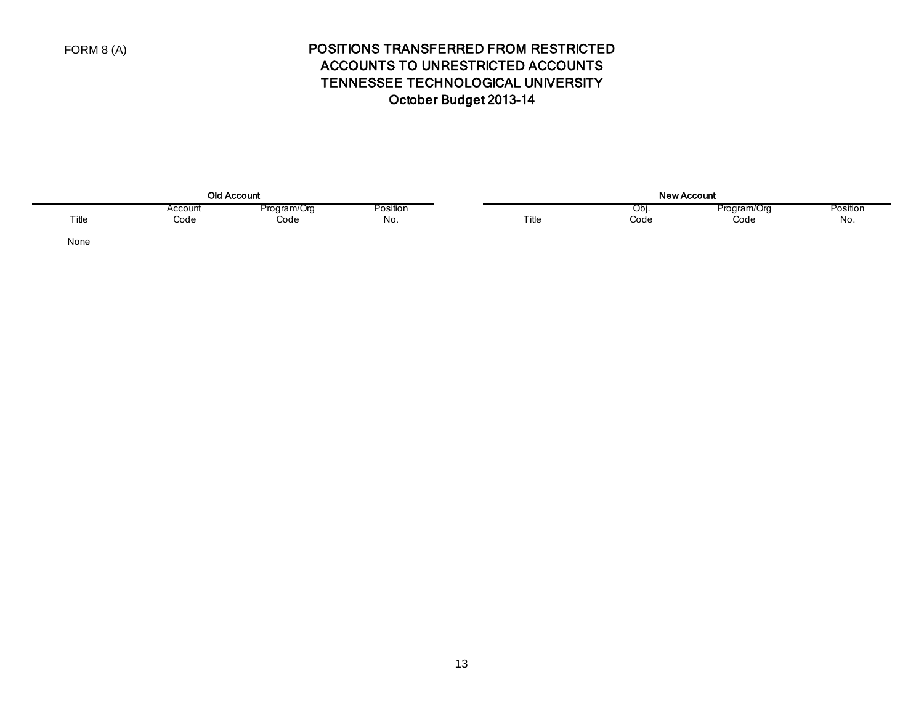# POSITIONS TRANSFERRED FROM RESTRICTED ACCOUNTS TO UNRESTRICTED ACCOUNTS TENNESSEE TECHNOLOGICAL UNIVERSITY October Budget 2013-14

| <b>Old Account</b> |                 |                     |                 |  |        | .<br>ne,    | Account:            |                 |
|--------------------|-----------------|---------------------|-----------------|--|--------|-------------|---------------------|-----------------|
| ıtle               | Account<br>Code | Program/Org<br>coae | Position<br>NO. |  | . itle | וטש<br>Code | Program/Org<br>Code | Position<br>No. |

None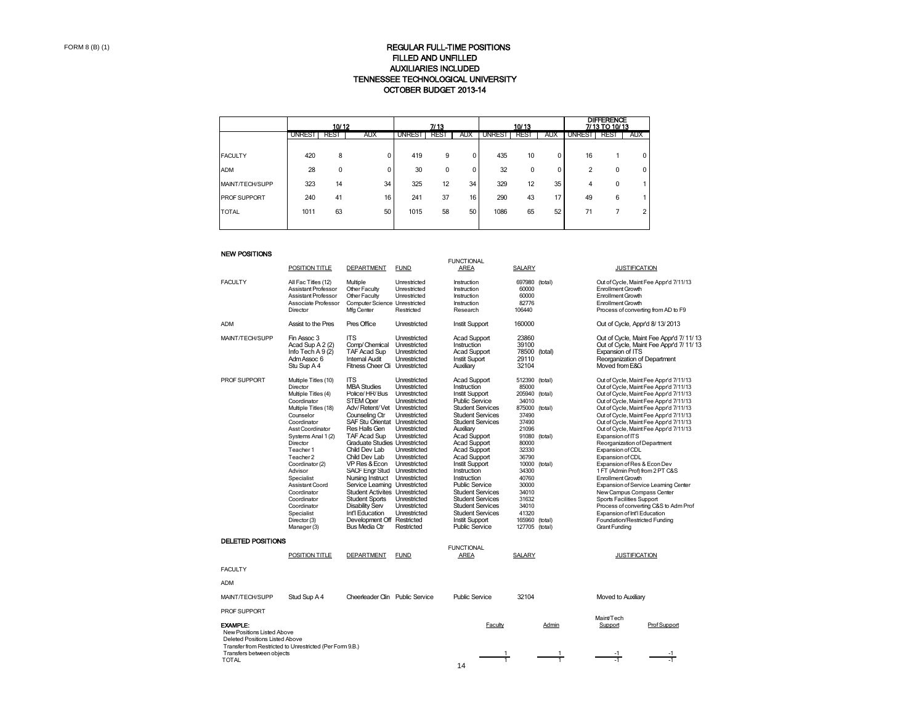#### TENNESSEE TECHNOLOGICAL UNIVERSITY OCTOBER BUDGET 2013-14 REGULAR FULL-TIME POSITIONS FILLED AND UNFILLED AUXILIARIES INCLUDED

|                     |        | 10/12 | 7/13       |               |             |            | 10/13         |      | <b>DIFFERENCE</b><br>7/13 TO 10/13 |               |          |            |
|---------------------|--------|-------|------------|---------------|-------------|------------|---------------|------|------------------------------------|---------------|----------|------------|
|                     | UNREST | REST  | <b>AUX</b> | <b>UNREST</b> | <b>REST</b> | <b>AUX</b> | <b>UNREST</b> | REST | <b>AUX</b>                         | <b>UNREST</b> | REST     | <b>AUX</b> |
|                     |        |       |            |               |             |            |               |      |                                    |               |          |            |
| <b>FACULTY</b>      | 420    | 8     | $\Omega$   | 419           | 9           | 0          | 435           | 10   | 0                                  | 16            |          | 0          |
| <b>ADM</b>          | 28     | 0     | 0          | 30            | 0           | 0          | 32            | 0    | 0                                  | 2             | $\Omega$ | 0          |
| MAINT/TECH/SUPP     | 323    | 14    | 34         | 325           | 12          | 34         | 329           | 12   | 35                                 | 4             | $\Omega$ |            |
| <b>PROF SUPPORT</b> | 240    | 41    | 16         | 241           | 37          | 16         | 290           | 43   | 17                                 | 49            | 6        |            |
| <b>TOTAL</b>        | 1011   | 63    | 50         | 1015          | 58          | 50         | 1086          | 65   | 52                                 | 71            |          |            |
|                     |        |       |            |               |             |            |               |      |                                    |               |          |            |

#### NEW POSITIONS

|                                                                                                                              |                                                                                                                                                                                                                                                                                                                                                                     |                                                                                                                                                                                                                                                                                                                                                                                                                                                                                                                                                                 |                                                                                                                                                                                                            | <b>FUNCTIONAL</b>                                                                                                                                                                                                                                                                                                                                                                                                                                                                                                     |                                                                                                                                                                                                                                         |                               |                                                                                                                                                                                                                                                                                                                                                                                                                                                                                                                                                                                                                                                                                                                                                                            |
|------------------------------------------------------------------------------------------------------------------------------|---------------------------------------------------------------------------------------------------------------------------------------------------------------------------------------------------------------------------------------------------------------------------------------------------------------------------------------------------------------------|-----------------------------------------------------------------------------------------------------------------------------------------------------------------------------------------------------------------------------------------------------------------------------------------------------------------------------------------------------------------------------------------------------------------------------------------------------------------------------------------------------------------------------------------------------------------|------------------------------------------------------------------------------------------------------------------------------------------------------------------------------------------------------------|-----------------------------------------------------------------------------------------------------------------------------------------------------------------------------------------------------------------------------------------------------------------------------------------------------------------------------------------------------------------------------------------------------------------------------------------------------------------------------------------------------------------------|-----------------------------------------------------------------------------------------------------------------------------------------------------------------------------------------------------------------------------------------|-------------------------------|----------------------------------------------------------------------------------------------------------------------------------------------------------------------------------------------------------------------------------------------------------------------------------------------------------------------------------------------------------------------------------------------------------------------------------------------------------------------------------------------------------------------------------------------------------------------------------------------------------------------------------------------------------------------------------------------------------------------------------------------------------------------------|
|                                                                                                                              | POSITION TITLE                                                                                                                                                                                                                                                                                                                                                      | <b>DEPARTMENT</b>                                                                                                                                                                                                                                                                                                                                                                                                                                                                                                                                               | <b>FUND</b>                                                                                                                                                                                                | AREA                                                                                                                                                                                                                                                                                                                                                                                                                                                                                                                  | <b>SALARY</b>                                                                                                                                                                                                                           |                               | <b>JUSTIFICATION</b>                                                                                                                                                                                                                                                                                                                                                                                                                                                                                                                                                                                                                                                                                                                                                       |
| <b>FACULTY</b>                                                                                                               | All Fac Titles (12)<br>Assistant Professor<br>Assistant Professor<br>Associate Professor<br>Director                                                                                                                                                                                                                                                                | Multiple<br>Other Faculty<br>Other Faculty<br>Computer Science Unrestricted<br>Mfa Center                                                                                                                                                                                                                                                                                                                                                                                                                                                                       | Unrestricted<br>Unrestricted<br>Unrestricted<br>Restricted                                                                                                                                                 | Instruction<br>Instruction<br>Instruction<br>Instruction<br>Research                                                                                                                                                                                                                                                                                                                                                                                                                                                  | 697980 (total)<br>60000<br>60000<br>82776<br>106440                                                                                                                                                                                     |                               | Out of Cycle, Maint Fee Appr'd 7/11/13<br><b>Enrollment Growth</b><br><b>Enrollment Growth</b><br><b>Enrollment Growth</b><br>Process of converting from AD to F9                                                                                                                                                                                                                                                                                                                                                                                                                                                                                                                                                                                                          |
| <b>ADM</b>                                                                                                                   | Assist to the Pres                                                                                                                                                                                                                                                                                                                                                  | Pres Office                                                                                                                                                                                                                                                                                                                                                                                                                                                                                                                                                     | Unrestricted                                                                                                                                                                                               | <b>Instit Support</b>                                                                                                                                                                                                                                                                                                                                                                                                                                                                                                 | 160000                                                                                                                                                                                                                                  |                               | Out of Cycle, Appr'd 8/13/2013                                                                                                                                                                                                                                                                                                                                                                                                                                                                                                                                                                                                                                                                                                                                             |
| MAINT/TECH/SUPP                                                                                                              | Fin Assoc 3<br>Acad Sup A 2 (2)<br>Info Tech $A9(2)$<br>Adm Assoc 6<br>Stu Sup A 4                                                                                                                                                                                                                                                                                  | <b>ITS</b><br>Comp/Chemical<br>TAF Acad Sup<br><b>Internal Audit</b><br>Fitness Cheer Cli Unrestricted                                                                                                                                                                                                                                                                                                                                                                                                                                                          | Unrestricted<br>Unrestricted<br>Unrestricted<br>Unrestricted                                                                                                                                               | <b>Acad Support</b><br>Instruction<br><b>Acad Support</b><br>Instit Suport<br>Auxiliary                                                                                                                                                                                                                                                                                                                                                                                                                               | 23860<br>39100<br>78500 (total)<br>29110<br>32104                                                                                                                                                                                       |                               | Out of Cycle, Maint Fee Appr'd 7/11/13<br>Out of Cycle, Maint Fee Appr'd 7/11/13<br>Expansion of ITS<br>Reorganization of Department<br>Moved from E&G                                                                                                                                                                                                                                                                                                                                                                                                                                                                                                                                                                                                                     |
| PROF SUPPORT                                                                                                                 | Multiple Titles (10)<br>Director<br>Multiple Titles (4)<br>Coordinator<br>Multiple Titles (18)<br>Counselor<br>Coordinator<br>Asst Coordinator<br>Systems Anal 1 (2)<br>Director<br>Teacher 1<br>Teacher 2<br>Coordinator (2)<br>Advisor<br>Specialist<br>Assistant Coord<br>Coordinator<br>Coordinator<br>Coordinator<br>Specialist<br>Director (3)<br>Manager (3) | <b>ITS</b><br><b>MBA Studies</b><br>Police/HR/Bus<br><b>STEM Oper</b><br>Adv/Retent/Vet Unrestricted<br>Counseling Ctr<br>SAF Stu Orientat Unrestricted<br>Res Halls Gen<br>TAF Acad Sup<br><b>Graduate Studies Unrestricted</b><br>Child Dev Lab<br>Child Dev Lab<br>VP Res & Econ Unrestricted<br>SACF Engr Stud Unrestricted<br>Nursing Instruct Unrestricted<br>Service Learning Unrestricted<br><b>Student Activites Unrestricted</b><br><b>Student Sports</b><br>Disability Serv<br>Int'l Education<br>Development Off Restricted<br><b>Bus Media Ctr</b> | Unrestricted<br>Unrestricted<br>Unrestricted<br>Unrestricted<br>Unrestricted<br>Unrestricted<br>Unrestricted<br>Unrestricted<br>Unrestricted<br>Unrestricted<br>Unrestricted<br>Unrestricted<br>Restricted | <b>Acad Support</b><br>Instruction<br><b>Instit Support</b><br><b>Public Service</b><br><b>Student Services</b><br><b>Student Services</b><br><b>Student Services</b><br>Auxiliarv<br><b>Acad Support</b><br><b>Acad Support</b><br><b>Acad Support</b><br><b>Acad Support</b><br><b>Instit Support</b><br>Instruction<br>Instruction<br><b>Public Service</b><br><b>Student Services</b><br><b>Student Services</b><br><b>Student Services</b><br><b>Student Services</b><br><b>Instit Support</b><br>Public Service | 512390<br>85000<br>205940<br>34010<br>875000 (total)<br>37490<br>37490<br>21096<br>91080 (total)<br>80000<br>32330<br>36790<br>10000 (total)<br>34300<br>40760<br>30000<br>34010<br>31632<br>34010<br>41320<br>165960<br>127705 (total) | (total)<br>(total)<br>(total) | Out of Cycle, Maint Fee Appr'd 7/11/13<br>Out of Cycle, Maint Fee Appr'd 7/11/13<br>Out of Cycle, Maint Fee Appr'd 7/11/13<br>Out of Cycle, Maint Fee Appr'd 7/11/13<br>Out of Cycle, Maint Fee Appr'd 7/11/13<br>Out of Cycle, Maint Fee Appr'd 7/11/13<br>Out of Cycle, Maint Fee Appr'd 7/11/13<br>Out of Cycle, Maint Fee Appr'd 7/11/13<br>Expansion of ITS<br>Reorganization of Department<br>Expansion of CDL<br>Expansion of CDL<br>Expansion of Res & Econ Dev<br>1 FT (Admin Prof) from 2 PT C&S<br><b>Enrollment Growth</b><br>Expansion of Service Learning Center<br>New Campus Compass Center<br>Sports Facilities Support<br>Process of converting C&S to Adm Prof<br>Expansion of Int'l Education<br>Foundation/Restricted Funding<br><b>Grant Funding</b> |
| <b>DELETED POSITIONS</b>                                                                                                     |                                                                                                                                                                                                                                                                                                                                                                     |                                                                                                                                                                                                                                                                                                                                                                                                                                                                                                                                                                 |                                                                                                                                                                                                            |                                                                                                                                                                                                                                                                                                                                                                                                                                                                                                                       |                                                                                                                                                                                                                                         |                               |                                                                                                                                                                                                                                                                                                                                                                                                                                                                                                                                                                                                                                                                                                                                                                            |
|                                                                                                                              | POSITION TITLE                                                                                                                                                                                                                                                                                                                                                      | DEPARTMENT                                                                                                                                                                                                                                                                                                                                                                                                                                                                                                                                                      | <b>FUND</b>                                                                                                                                                                                                | <b>FUNCTIONAL</b><br>AREA                                                                                                                                                                                                                                                                                                                                                                                                                                                                                             | SALARY                                                                                                                                                                                                                                  |                               | <b>JUSTIFICATION</b>                                                                                                                                                                                                                                                                                                                                                                                                                                                                                                                                                                                                                                                                                                                                                       |
| <b>FACULTY</b>                                                                                                               |                                                                                                                                                                                                                                                                                                                                                                     |                                                                                                                                                                                                                                                                                                                                                                                                                                                                                                                                                                 |                                                                                                                                                                                                            |                                                                                                                                                                                                                                                                                                                                                                                                                                                                                                                       |                                                                                                                                                                                                                                         |                               |                                                                                                                                                                                                                                                                                                                                                                                                                                                                                                                                                                                                                                                                                                                                                                            |
| <b>ADM</b>                                                                                                                   |                                                                                                                                                                                                                                                                                                                                                                     |                                                                                                                                                                                                                                                                                                                                                                                                                                                                                                                                                                 |                                                                                                                                                                                                            |                                                                                                                                                                                                                                                                                                                                                                                                                                                                                                                       |                                                                                                                                                                                                                                         |                               |                                                                                                                                                                                                                                                                                                                                                                                                                                                                                                                                                                                                                                                                                                                                                                            |
| MAINT/TECH/SUPP                                                                                                              | Stud Sup A 4                                                                                                                                                                                                                                                                                                                                                        | Cheerleader Clin Public Service                                                                                                                                                                                                                                                                                                                                                                                                                                                                                                                                 |                                                                                                                                                                                                            | Public Service                                                                                                                                                                                                                                                                                                                                                                                                                                                                                                        | 32104                                                                                                                                                                                                                                   |                               | Moved to Auxiliary                                                                                                                                                                                                                                                                                                                                                                                                                                                                                                                                                                                                                                                                                                                                                         |
| PROF SUPPORT                                                                                                                 |                                                                                                                                                                                                                                                                                                                                                                     |                                                                                                                                                                                                                                                                                                                                                                                                                                                                                                                                                                 |                                                                                                                                                                                                            |                                                                                                                                                                                                                                                                                                                                                                                                                                                                                                                       |                                                                                                                                                                                                                                         |                               | Maint/Tech                                                                                                                                                                                                                                                                                                                                                                                                                                                                                                                                                                                                                                                                                                                                                                 |
| <b>EXAMPLE:</b><br>New Positions Listed Above<br>Deleted Positions Listed Above<br>Transfers between objects<br><b>TOTAL</b> | Transfer from Restricted to Unrestricted (Per Form 9.B.)                                                                                                                                                                                                                                                                                                            |                                                                                                                                                                                                                                                                                                                                                                                                                                                                                                                                                                 |                                                                                                                                                                                                            | Faculty<br>14                                                                                                                                                                                                                                                                                                                                                                                                                                                                                                         | $\frac{1}{1}$                                                                                                                                                                                                                           | Admin<br>$\frac{1}{1}$        | Support<br>Prof Support<br>$\frac{-1}{-1}$<br>-1                                                                                                                                                                                                                                                                                                                                                                                                                                                                                                                                                                                                                                                                                                                           |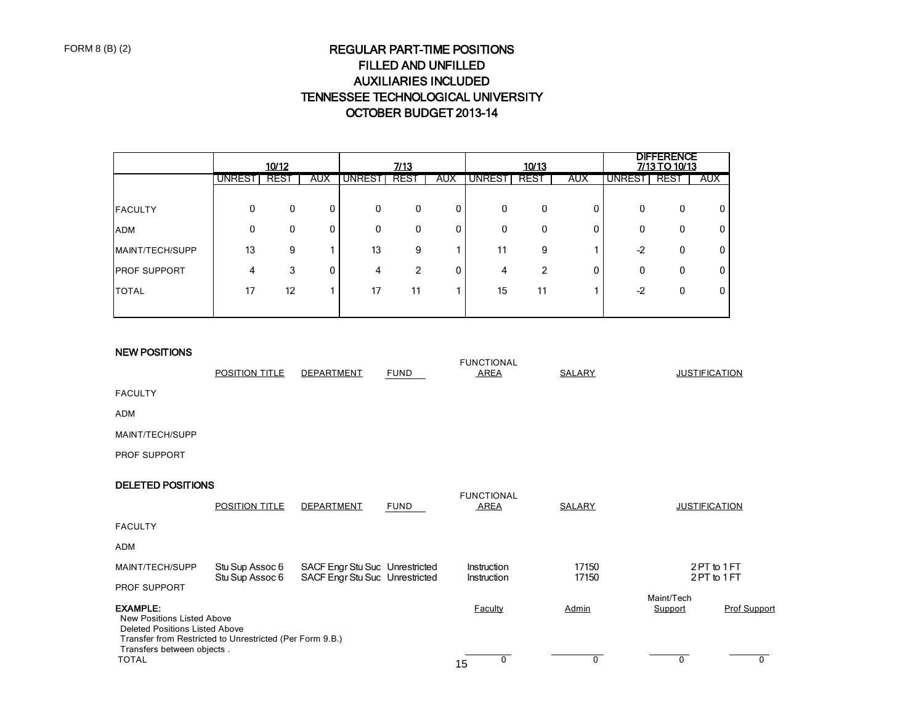# REGULAR PART-TIME POSITIONS FILLED AND UNFILLED AUXILIARIES INCLUDED TENNESSEE TECHNOLOGICAL UNIVERSITY OCTOBER BUDGET 2013-14

|                     |          | 10/12 |            |               | 7/13 |            |               | 10/13 |            |              | <b>DIFFERENCE</b><br>7/13 TO 10/13 |            |
|---------------------|----------|-------|------------|---------------|------|------------|---------------|-------|------------|--------------|------------------------------------|------------|
|                     | UNREST   | REST  | <b>AUX</b> | <b>UNREST</b> | REST | <b>AUX</b> | <b>UNREST</b> | REST  | <b>AUX</b> | UNREST       | REST                               | <b>AUX</b> |
|                     |          |       |            |               |      |            |               |       |            |              |                                    |            |
| <b>FACULTY</b>      | $\Omega$ | 0     | 0          | 0             | 0    |            | 0             | 0     | 0          | $\mathbf{0}$ | 0                                  |            |
| <b>ADM</b>          | 0        | 0     | 0          | 0             | 0    | 0          | 0             | 0     | 0          | 0            | 0                                  |            |
| MAINT/TECH/SUPP     | 13       | 9     |            | 13            | 9    |            | 11            | 9     |            | $-2$         | 0                                  |            |
| <b>PROF SUPPORT</b> | 4        | 3     | 0          | 4             | 2    |            | 4             | 2     | 0          | 0            | 0                                  |            |
| <b>TOTAL</b>        | 17       | 12    |            | 17            | 11   |            | 15            | 11    |            | $-2$         | 0                                  |            |
|                     |          |       |            |               |      |            |               |       |            |              |                                    |            |

### NEW POSITIONS

|                                                                                                                                                           |                                    |                                                                  |             | <b>FUNCTIONAL</b>                |                |                      |                          |
|-----------------------------------------------------------------------------------------------------------------------------------------------------------|------------------------------------|------------------------------------------------------------------|-------------|----------------------------------|----------------|----------------------|--------------------------|
|                                                                                                                                                           | <b>POSITION TITLE</b>              | DEPARTMENT                                                       | <b>FUND</b> | AREA                             | <b>SALARY</b>  | <b>JUSTIFICATION</b> |                          |
| <b>FACULTY</b>                                                                                                                                            |                                    |                                                                  |             |                                  |                |                      |                          |
| <b>ADM</b>                                                                                                                                                |                                    |                                                                  |             |                                  |                |                      |                          |
| MAINT/TECH/SUPP                                                                                                                                           |                                    |                                                                  |             |                                  |                |                      |                          |
| <b>PROF SUPPORT</b>                                                                                                                                       |                                    |                                                                  |             |                                  |                |                      |                          |
| <b>DELETED POSITIONS</b>                                                                                                                                  |                                    |                                                                  |             |                                  |                |                      |                          |
|                                                                                                                                                           | <b>POSITION TITLE</b>              | <b>DEPARTMENT</b>                                                | <b>FUND</b> | <b>FUNCTIONAL</b><br><b>AREA</b> | SALARY         | <b>JUSTIFICATION</b> |                          |
| <b>FACULTY</b>                                                                                                                                            |                                    |                                                                  |             |                                  |                |                      |                          |
| <b>ADM</b>                                                                                                                                                |                                    |                                                                  |             |                                  |                |                      |                          |
| MAINT/TECH/SUPP                                                                                                                                           | Stu Sup Assoc 6<br>Stu Sup Assoc 6 | SACF Engr Stu Suc Unrestricted<br>SACF Engr Stu Suc Unrestricted |             | Instruction<br>Instruction       | 17150<br>17150 |                      | 2PT to 1FT<br>2PT to 1FT |
| PROF SUPPORT                                                                                                                                              |                                    |                                                                  |             |                                  |                | Maint/Tech           |                          |
| <b>EXAMPLE:</b><br><b>New Positions Listed Above</b><br><b>Deleted Positions Listed Above</b><br>Transfer from Restricted to Unrestricted (Per Form 9.B.) |                                    |                                                                  |             | <b>Faculty</b>                   | Admin          | Support              | <b>Prof Support</b>      |
| Transfers between objects.<br><b>TOTAL</b>                                                                                                                |                                    |                                                                  |             | 0<br>15                          | $\mathbf{0}$   | 0                    | 0                        |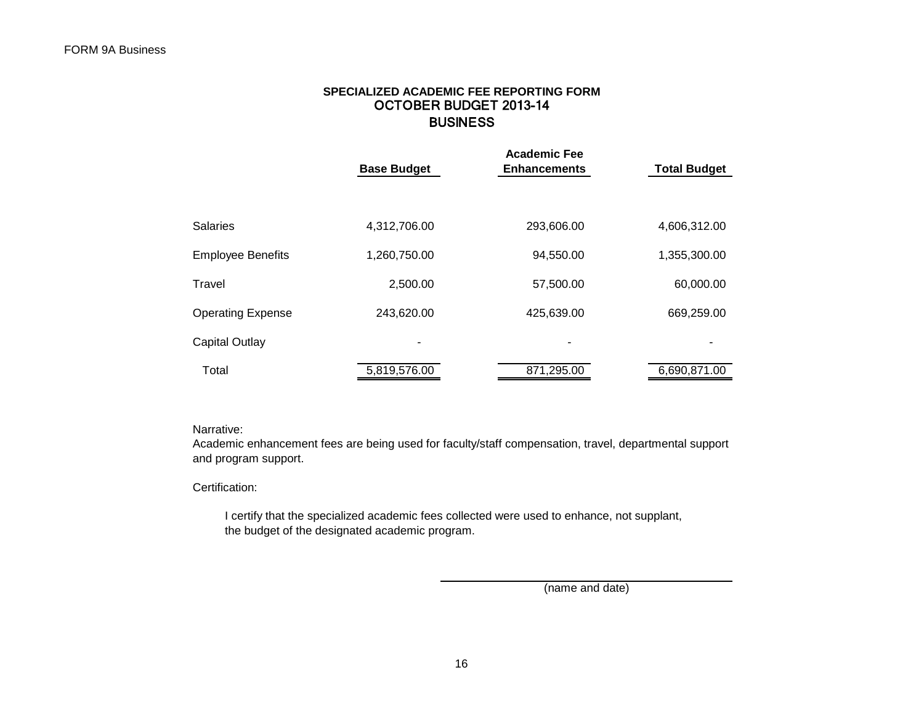## **SPECIALIZED ACADEMIC FEE REPORTING FORM** OCTOBER BUDGET 2013-14 **BUSINESS**

|                          | <b>Base Budget</b> | <b>Academic Fee</b><br><b>Enhancements</b> | <b>Total Budget</b> |
|--------------------------|--------------------|--------------------------------------------|---------------------|
|                          |                    |                                            |                     |
| <b>Salaries</b>          | 4,312,706.00       | 293,606.00                                 | 4,606,312.00        |
| <b>Employee Benefits</b> | 1,260,750.00       | 94,550.00                                  | 1,355,300.00        |
| Travel                   | 2,500.00           | 57,500.00                                  | 60,000.00           |
| <b>Operating Expense</b> | 243,620.00         | 425,639.00                                 | 669,259.00          |
| <b>Capital Outlay</b>    |                    |                                            |                     |
| Total                    | 5,819,576.00       | 871,295.00                                 | 6,690,871.00        |

Narrative:

Academic enhancement fees are being used for faculty/staff compensation, travel, departmental support and program support.

Certification:

 I certify that the specialized academic fees collected were used to enhance, not supplant, the budget of the designated academic program.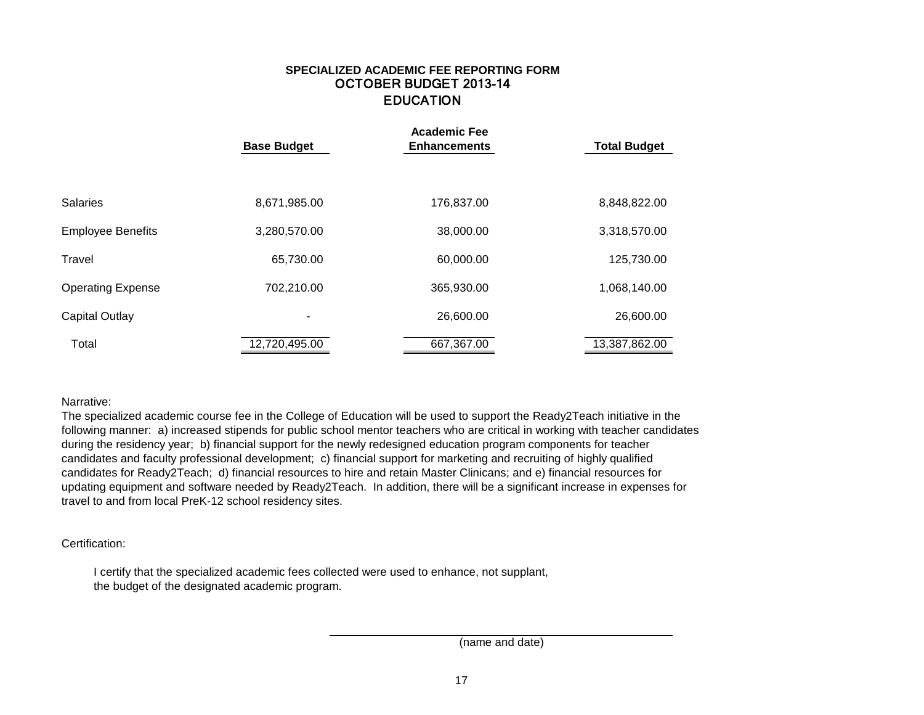## **SPECIALIZED ACADEMIC FEE REPORTING FORM** OCTOBER BUDGET 2013-14 EDUCATION

|                          | <b>Base Budget</b> | <b>Academic Fee</b><br><b>Enhancements</b> | <b>Total Budget</b> |
|--------------------------|--------------------|--------------------------------------------|---------------------|
|                          |                    |                                            |                     |
| <b>Salaries</b>          | 8,671,985.00       | 176,837.00                                 | 8,848,822.00        |
| <b>Employee Benefits</b> | 3,280,570.00       | 38,000.00                                  | 3,318,570.00        |
| Travel                   | 65,730.00          | 60,000.00                                  | 125,730.00          |
| <b>Operating Expense</b> | 702,210.00         | 365,930.00                                 | 1,068,140.00        |
| <b>Capital Outlay</b>    | -                  | 26,600.00                                  | 26,600.00           |
| Total                    | 12,720,495.00      | 667,367.00                                 | 13,387,862.00       |

Narrative:

The specialized academic course fee in the College of Education will be used to support the Ready2Teach initiative in the following manner: a) increased stipends for public school mentor teachers who are critical in working with teacher candidates during the residency year; b) financial support for the newly redesigned education program components for teacher candidates and faculty professional development; c) financial support for marketing and recruiting of highly qualified candidates for Ready2Teach; d) financial resources to hire and retain Master Clinicans; and e) financial resources for updating equipment and software needed by Ready2Teach. In addition, there will be a significant increase in expenses for travel to and from local PreK-12 school residency sites.

Certification:

 I certify that the specialized academic fees collected were used to enhance, not supplant, the budget of the designated academic program.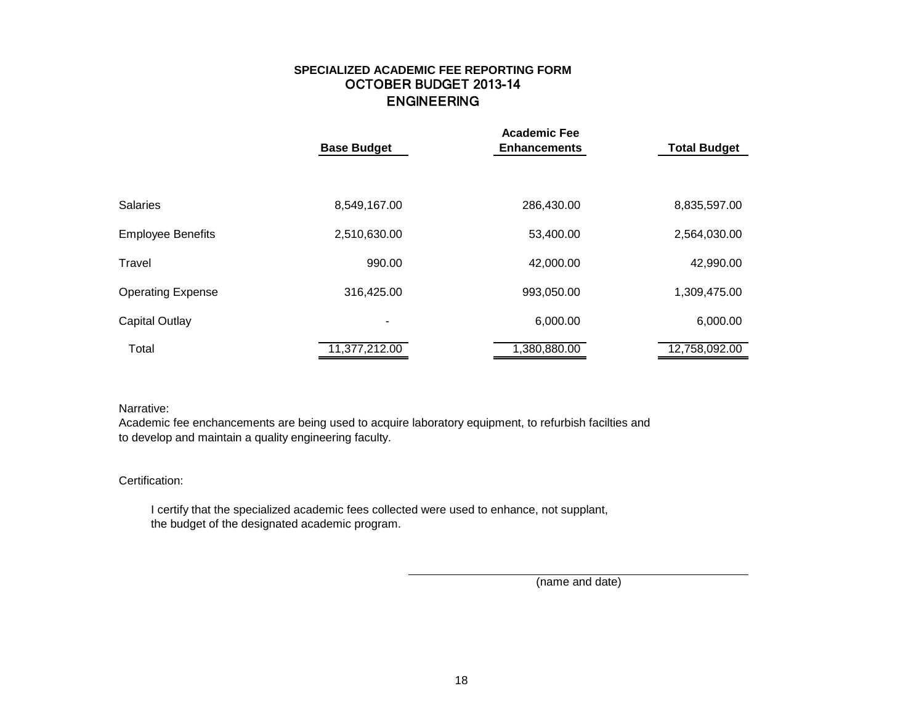## **SPECIALIZED ACADEMIC FEE REPORTING FORM** OCTOBER BUDGET 2013-14 ENGINEERING

|                          | <b>Base Budget</b> | <b>Academic Fee</b><br><b>Enhancements</b> | <b>Total Budget</b> |
|--------------------------|--------------------|--------------------------------------------|---------------------|
|                          |                    |                                            |                     |
| <b>Salaries</b>          | 8,549,167.00       | 286,430.00                                 | 8,835,597.00        |
| <b>Employee Benefits</b> | 2,510,630.00       | 53,400.00                                  | 2,564,030.00        |
| Travel                   | 990.00             | 42,000.00                                  | 42,990.00           |
| <b>Operating Expense</b> | 316,425.00         | 993,050.00                                 | 1,309,475.00        |
| Capital Outlay           | -                  | 6,000.00                                   | 6,000.00            |
| Total                    | 11,377,212.00      | 1,380,880.00                               | 12,758,092.00       |

### Narrative:

Academic fee enchancements are being used to acquire laboratory equipment, to refurbish facilties and to develop and maintain a quality engineering faculty.

### Certification:

 I certify that the specialized academic fees collected were used to enhance, not supplant, the budget of the designated academic program.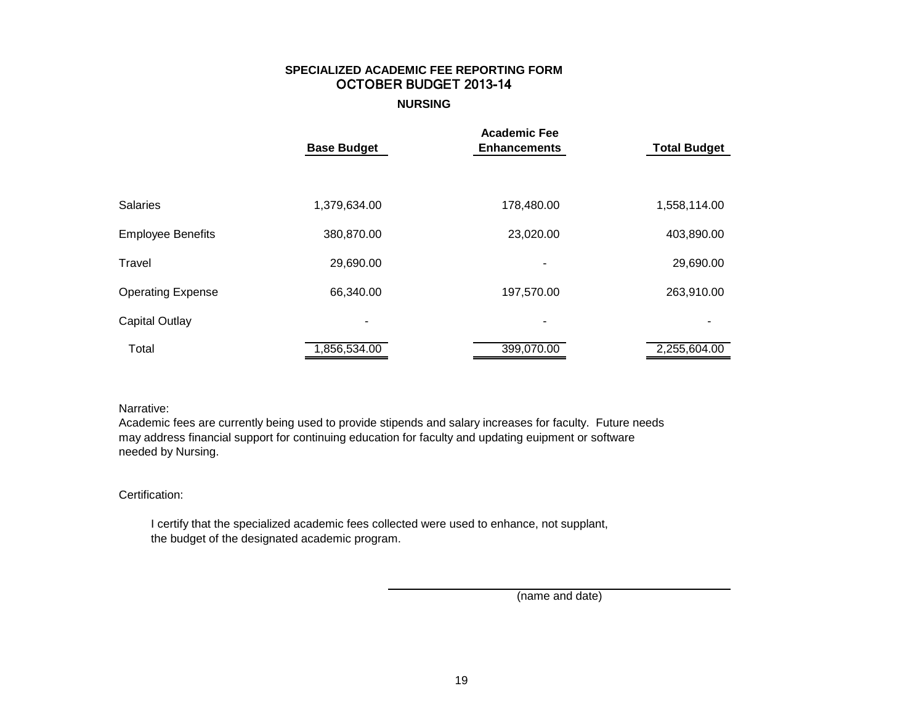# **SPECIALIZED ACADEMIC FEE REPORTING FORM** OCTOBER BUDGET 2013-14

**NURSING**

|                          | <b>Base Budget</b> | <b>Academic Fee</b><br><b>Enhancements</b> | <b>Total Budget</b> |
|--------------------------|--------------------|--------------------------------------------|---------------------|
|                          |                    |                                            |                     |
|                          |                    |                                            |                     |
| <b>Salaries</b>          | 1,379,634.00       | 178,480.00                                 | 1,558,114.00        |
| <b>Employee Benefits</b> | 380,870.00         | 23,020.00                                  | 403,890.00          |
| Travel                   | 29,690.00          | ۰                                          | 29,690.00           |
| <b>Operating Expense</b> | 66,340.00          | 197,570.00                                 | 263,910.00          |
| Capital Outlay           | ٠                  | ۰                                          |                     |
| Total                    | 1,856,534.00       | 399,070.00                                 | 2,255,604.00        |

## Narrative:

Academic fees are currently being used to provide stipends and salary increases for faculty. Future needs may address financial support for continuing education for faculty and updating euipment or software needed by Nursing.

### Certification:

 I certify that the specialized academic fees collected were used to enhance, not supplant, the budget of the designated academic program.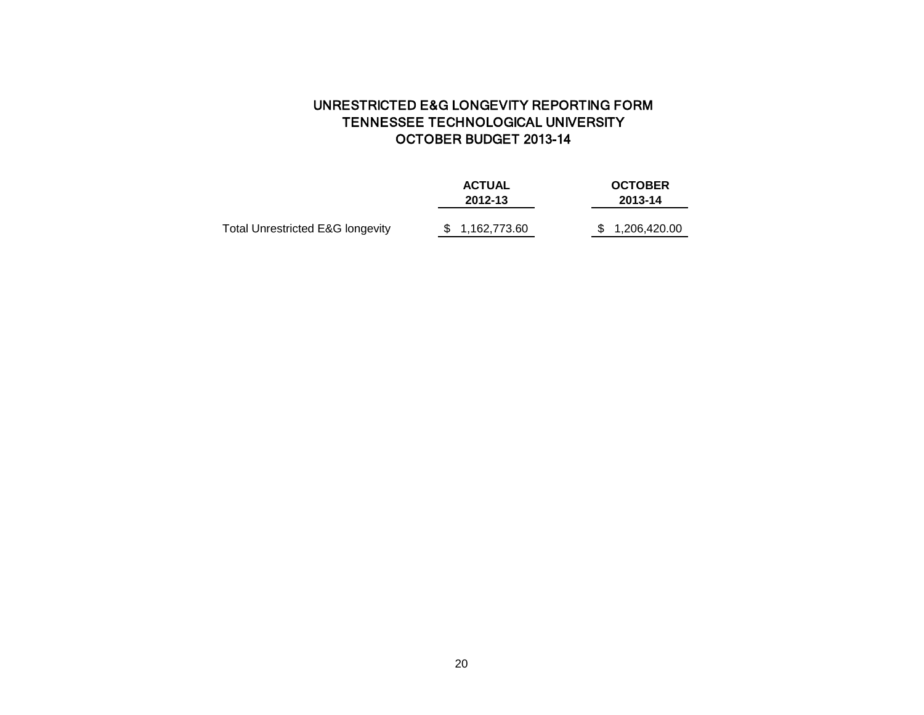# UNRESTRICTED E&G LONGEVITY REPORTING FORM TENNESSEE TECHNOLOGICAL UNIVERSITY OCTOBER BUDGET 2013-14

|                                             | <b>ACTUAL</b>  | <b>OCTOBER</b>  |
|---------------------------------------------|----------------|-----------------|
|                                             | 2012-13        | 2013-14         |
|                                             |                |                 |
| <b>Total Unrestricted E&amp;G longevity</b> | \$1.162.773.60 | \$ 1,206,420.00 |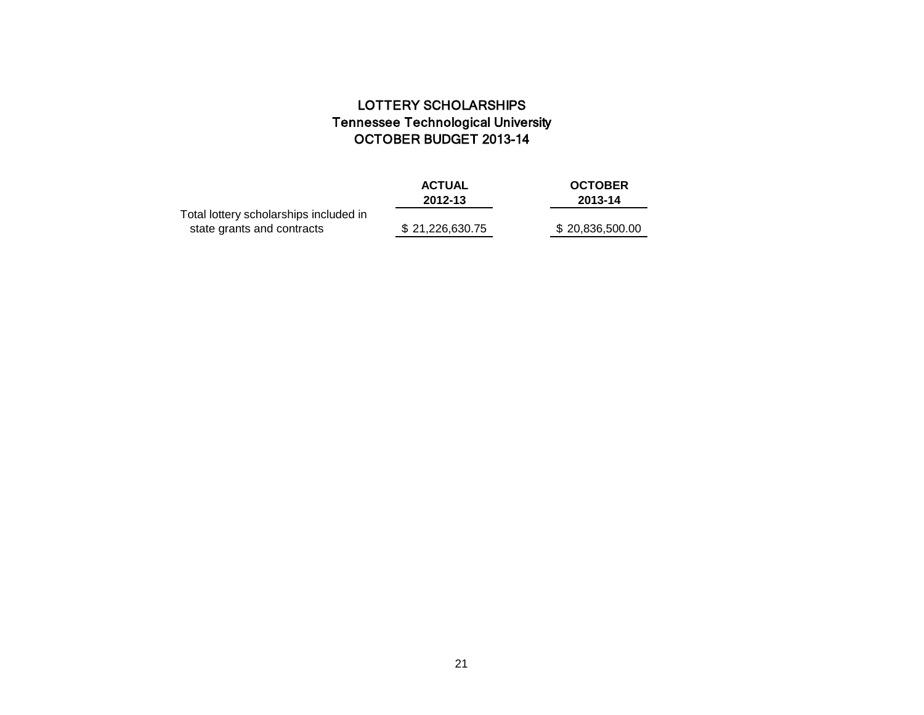# LOTTERY SCHOLARSHIPS Tennessee Technological University OCTOBER BUDGET 2013-14

|                                                                      | <b>ACTUAL</b><br>2012-13 | <b>OCTOBER</b><br>2013-14 |
|----------------------------------------------------------------------|--------------------------|---------------------------|
| Total lottery scholarships included in<br>state grants and contracts | \$21,226,630.75          | \$20,836,500.00           |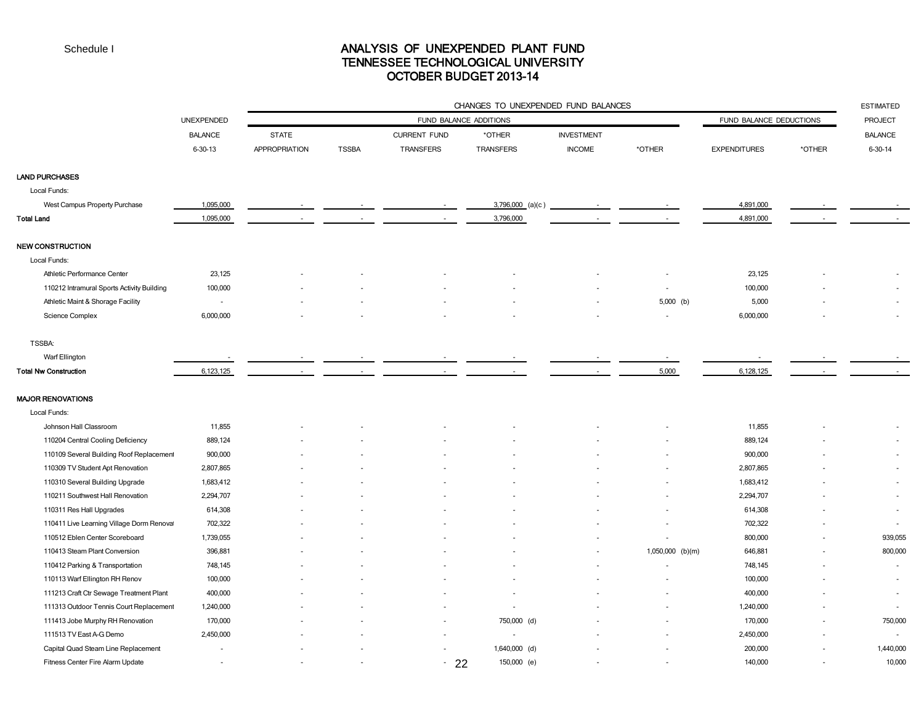## ANALYSIS OF UNEXPENDED PLANT FUND TENNESSEE TECHNOLOGICAL UNIVERSITY OCTOBER BUDGET 2013-14

|                                            | <b>UNEXPENDED</b> | CHANGES TO UNEXPENDED FUND BALANCES |              |                     |                        |                   |                  |                         |        | <b>ESTIMATED</b> |
|--------------------------------------------|-------------------|-------------------------------------|--------------|---------------------|------------------------|-------------------|------------------|-------------------------|--------|------------------|
|                                            |                   |                                     |              |                     | FUND BALANCE ADDITIONS |                   |                  | FUND BALANCE DEDUCTIONS |        | <b>PROJECT</b>   |
|                                            | <b>BALANCE</b>    | <b>STATE</b>                        |              | <b>CURRENT FUND</b> | *OTHER                 | <b>INVESTMENT</b> |                  |                         |        | <b>BALANCE</b>   |
|                                            | $6 - 30 - 13$     | <b>APPROPRIATION</b>                | <b>TSSBA</b> | TRANSFERS           | <b>TRANSFERS</b>       | <b>INCOME</b>     | *OTHER           | <b>EXPENDITURES</b>     | *OTHER | $6 - 30 - 14$    |
| LAND PURCHASES                             |                   |                                     |              |                     |                        |                   |                  |                         |        |                  |
| Local Funds:                               |                   |                                     |              |                     |                        |                   |                  |                         |        |                  |
| West Campus Property Purchase              | 1,095,000         |                                     |              |                     | 3,796,000 (a)(c)       |                   |                  | 4,891,000               |        |                  |
| Total Land                                 | 1,095,000         |                                     |              |                     | 3,796,000              |                   |                  | 4,891,000               |        |                  |
| <b>NEW CONSTRUCTION</b>                    |                   |                                     |              |                     |                        |                   |                  |                         |        |                  |
| Local Funds:                               |                   |                                     |              |                     |                        |                   |                  |                         |        |                  |
| Athletic Performance Center                | 23,125            |                                     |              |                     |                        |                   |                  | 23,125                  |        |                  |
| 110212 Intramural Sports Activity Building | 100,000           |                                     |              |                     |                        |                   |                  | 100,000                 |        |                  |
| Athletic Maint & Shorage Facility          | $\sim$            |                                     |              |                     |                        |                   | 5,000 (b)        | 5,000                   |        | $\sim$           |
| Science Complex                            | 6,000,000         |                                     |              |                     |                        |                   | $\sim$           | 6,000,000               |        |                  |
| <b>TSSBA:</b>                              |                   |                                     |              |                     |                        |                   |                  |                         |        |                  |
| Warf Ellington                             |                   |                                     |              |                     |                        |                   |                  |                         |        |                  |
| <b>Total Nw Construction</b>               | 6,123,125         |                                     |              |                     |                        |                   | 5,000            | 6,128,125               |        |                  |
| <b>MAJOR RENOVATIONS</b>                   |                   |                                     |              |                     |                        |                   |                  |                         |        |                  |
| Local Funds:                               |                   |                                     |              |                     |                        |                   |                  |                         |        |                  |
| Johnson Hall Classroom                     | 11,855            |                                     |              |                     |                        |                   |                  | 11,855                  |        |                  |
| 110204 Central Cooling Deficiency          | 889,124           |                                     |              |                     |                        |                   |                  | 889,124                 |        | $\sim$           |
| 110109 Several Building Roof Replacement   | 900,000           |                                     |              |                     |                        |                   |                  | 900,000                 |        | $\sim$           |
| 110309 TV Student Apt Renovation           | 2,807,865         |                                     |              |                     |                        |                   |                  | 2,807,865               |        | $\sim$           |
| 110310 Several Building Upgrade            | 1,683,412         |                                     |              |                     |                        |                   |                  | 1,683,412               |        |                  |
| 110211 Southwest Hall Renovation           | 2,294,707         |                                     |              |                     |                        |                   |                  | 2,294,707               |        | $\sim$           |
| 110311 Res Hall Upgrades                   | 614,308           |                                     |              |                     |                        |                   |                  | 614,308                 |        | $\sim$           |
| 110411 Live Learning Village Dorm Renoval  | 702,322           |                                     |              |                     |                        |                   |                  | 702,322                 |        | $\sim$           |
| 110512 Eblen Center Scoreboard             | 1,739,055         |                                     |              |                     |                        |                   |                  | 800,000                 |        | 939,055          |
| 110413 Steam Plant Conversion              | 396,881           |                                     |              |                     |                        |                   | 1,050,000 (b)(m) | 646,881                 |        | 800,000          |
| 110412 Parking & Transportation            | 748,145           |                                     |              |                     |                        |                   |                  | 748,145                 |        | $\sim$           |
| 110113 Warf Ellington RH Renov             | 100,000           |                                     |              |                     |                        |                   |                  | 100,000                 |        | $\sim$           |
| 111213 Craft Ctr Sewage Treatment Plant    | 400,000           |                                     |              |                     |                        |                   |                  | 400,000                 |        | $\sim$           |
| 111313 Outdoor Tennis Court Replacement    | 1,240,000         |                                     |              |                     |                        |                   |                  | 1,240,000               |        | $\sim$           |
| 111413 Jobe Murphy RH Renovation           | 170,000           |                                     |              |                     | 750,000 (d)            |                   |                  | 170,000                 |        | 750,000          |
| 111513 TV East A-G Demo                    | 2,450,000         |                                     |              |                     |                        |                   |                  | 2,450,000               |        |                  |
| Capital Quad Steam Line Replacement        |                   |                                     |              |                     | 1,640,000 (d)          |                   |                  | 200,000                 |        | 1,440,000        |
| Fitness Center Fire Alarm Update           |                   |                                     |              | 22<br>$\sim$        | 150,000 (e)            |                   |                  | 140,000                 |        | 10,000           |
|                                            |                   |                                     |              |                     |                        |                   |                  |                         |        |                  |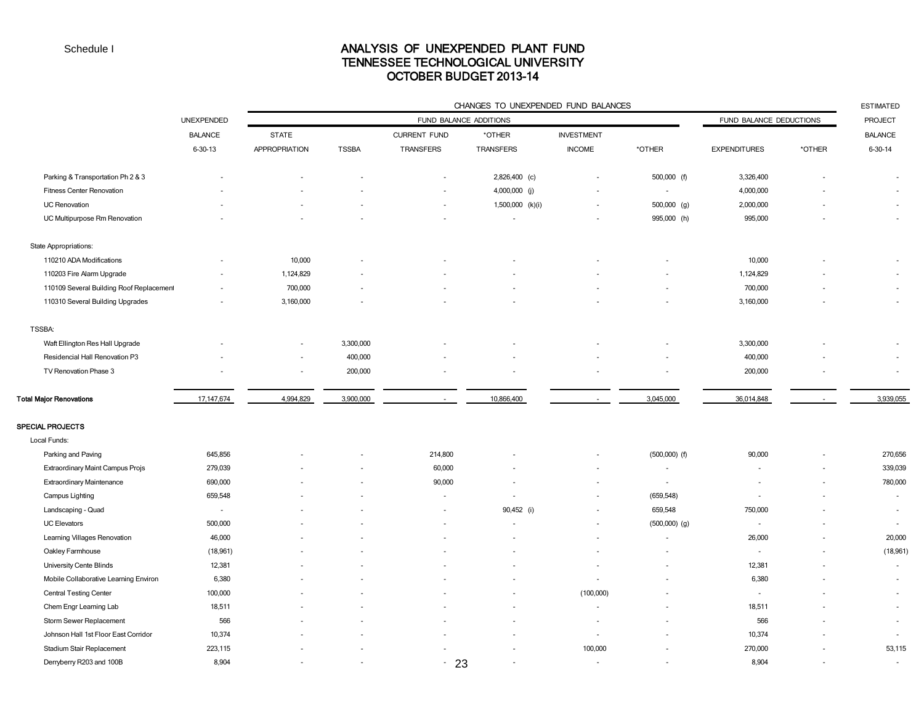## ANALYSIS OF UNEXPENDED PLANT FUND TENNESSEE TECHNOLOGICAL UNIVERSITY OCTOBER BUDGET 2013-14

|                                          |                   |                          |              |                          | CHANGES TO UNEXPENDED FUND BALANCES |                   |                          |                         |        | <b>ESTIMATED</b>         |
|------------------------------------------|-------------------|--------------------------|--------------|--------------------------|-------------------------------------|-------------------|--------------------------|-------------------------|--------|--------------------------|
|                                          | <b>UNEXPENDED</b> |                          |              | FUND BALANCE ADDITIONS   |                                     |                   |                          | FUND BALANCE DEDUCTIONS |        | <b>PROJECT</b>           |
|                                          | <b>BALANCE</b>    | <b>STATE</b>             |              | <b>CURRENT FUND</b>      | *OTHER                              | <b>INVESTMENT</b> |                          |                         |        | <b>BALANCE</b>           |
|                                          | $6 - 30 - 13$     | <b>APPROPRIATION</b>     | <b>TSSBA</b> | <b>TRANSFERS</b>         | TRANSFERS                           | <b>INCOME</b>     | *OTHER                   | <b>EXPENDITURES</b>     | *OTHER | $6 - 30 - 14$            |
| Parking & Transportation Ph 2 & 3        |                   |                          |              |                          | 2,826,400 (c)                       |                   | 500,000 (f)              | 3,326,400               |        | ÷.                       |
| <b>Fitness Center Renovation</b>         |                   |                          |              |                          | 4,000,000 (j)                       |                   | $\overline{\phantom{a}}$ | 4,000,000               |        | ä,                       |
| <b>UC Renovation</b>                     |                   |                          |              |                          | 1,500,000 (k)(i)                    |                   | $500,000$ (g)            | 2,000,000               |        |                          |
| UC Multipurpose Rm Renovation            |                   |                          |              |                          |                                     |                   | 995,000 (h)              | 995,000                 |        | $\sim$                   |
| State Appropriations:                    |                   |                          |              |                          |                                     |                   |                          |                         |        |                          |
| 110210 ADA Modifications                 |                   | 10,000                   |              |                          |                                     |                   |                          | 10,000                  |        |                          |
| 110203 Fire Alarm Upgrade                |                   | 1,124,829                |              |                          |                                     |                   |                          | 1,124,829               |        |                          |
| 110109 Several Building Roof Replacement |                   | 700,000                  |              |                          |                                     |                   |                          | 700,000                 |        | ä,                       |
| 110310 Several Building Upgrades         |                   | 3,160,000                |              |                          |                                     |                   |                          | 3,160,000               |        | $\overline{\phantom{a}}$ |
| <b>TSSBA:</b>                            |                   |                          |              |                          |                                     |                   |                          |                         |        |                          |
| Waft Ellington Res Hall Upgrade          |                   |                          | 3,300,000    |                          |                                     |                   |                          | 3,300,000               |        |                          |
| Residencial Hall Renovation P3           |                   |                          | 400,000      |                          |                                     |                   |                          | 400,000                 |        | ÷                        |
| TV Renovation Phase 3                    |                   | $\overline{\phantom{a}}$ | 200,000      |                          |                                     |                   | $\overline{a}$           | 200,000                 |        | $\overline{\phantom{a}}$ |
| <b>Total Major Renovations</b>           | 17,147,674        | 4,994,829                | 3,900,000    |                          | 10,866,400                          |                   | 3,045,000                | 36,014,848              |        | 3,939,055                |
| <b>SPECIAL PROJECTS</b>                  |                   |                          |              |                          |                                     |                   |                          |                         |        |                          |
| Local Funds:                             |                   |                          |              |                          |                                     |                   |                          |                         |        |                          |
| Parking and Paving                       | 645,856           |                          |              | 214,800                  |                                     |                   | $(500,000)$ (f)          | 90,000                  |        | 270,656                  |
| Extraordinary Maint Campus Projs         | 279,039           |                          |              | 60,000                   |                                     |                   | $\overline{\phantom{a}}$ | $\sim$                  |        | 339,039                  |
| <b>Extraordinary Maintenance</b>         | 690,000           |                          |              | 90,000                   |                                     |                   | $\overline{\phantom{a}}$ |                         |        | 780,000                  |
| Campus Lighting                          | 659,548           |                          |              |                          |                                     |                   | (659, 548)               |                         |        | $\sim$                   |
| Landscaping - Quad                       | $\sim$            |                          |              | $\overline{\phantom{a}}$ | 90,452 (i)                          |                   | 659,548                  | 750,000                 |        | $\sim$                   |
| <b>UC Elevators</b>                      | 500,000           |                          |              | $\blacksquare$           |                                     |                   | $(500,000)$ $(g)$        | $\sim$                  |        | $\overline{\phantom{a}}$ |
| Learning Villages Renovation             | 46,000            |                          |              |                          |                                     |                   |                          | 26,000                  |        | 20,000                   |
| Oakley Farmhouse                         | (18,961)          |                          |              |                          |                                     |                   |                          | $\sim$                  |        | (18,961)                 |
| University Cente Blinds                  | 12,381            |                          |              |                          |                                     |                   |                          | 12,381                  |        | ÷                        |
| Mobile Collaborative Learning Environ    | 6,380             |                          |              |                          |                                     |                   |                          | 6,380                   |        | ÷                        |
| Central Testing Center                   | 100,000           |                          |              |                          |                                     | (100,000)         |                          | $\sim$                  |        | ×.                       |
| Chem Engr Learning Lab                   | 18,511            |                          |              |                          |                                     |                   |                          | 18,511                  |        | $\sim$                   |
| Storm Sewer Replacement                  | 566               |                          |              |                          |                                     |                   |                          | 566                     |        | $\overline{\phantom{a}}$ |
| Johnson Hall 1st Floor East Corridor     | 10,374            |                          |              |                          |                                     |                   |                          | 10,374                  |        |                          |
| Stadium Stair Replacement                | 223,115           |                          |              |                          |                                     | 100,000           |                          | 270,000                 |        | 53,115                   |
| Derryberry R203 and 100B                 | 8,904             |                          |              | 23<br>$\sim$             |                                     |                   | $\overline{a}$           | 8,904                   |        | $\bar{a}$                |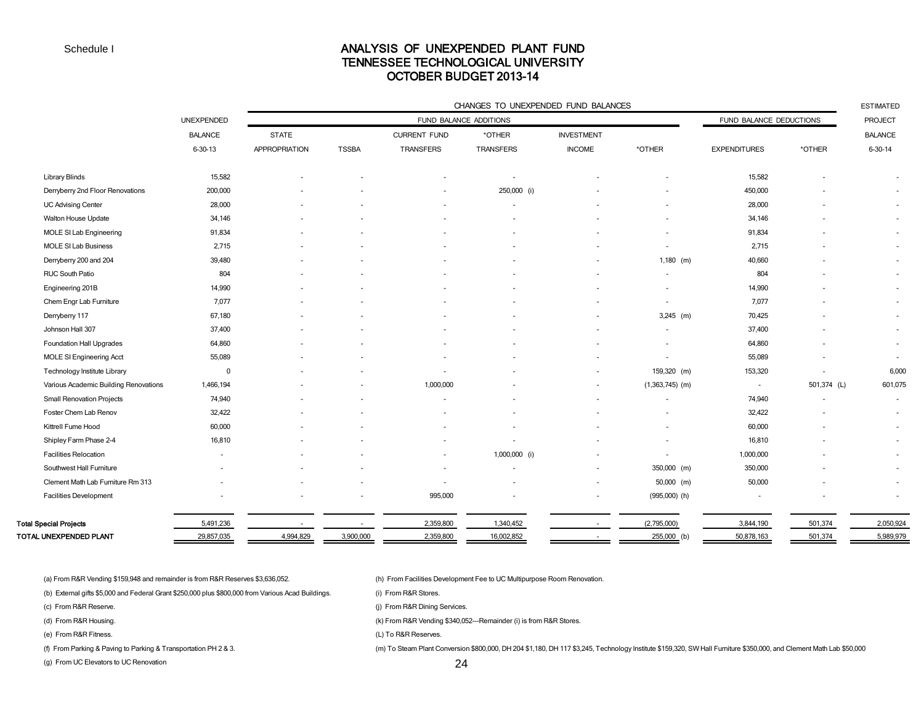### ANALYSIS OF UNEXPENDED PLANT FUND TENNESSEE TECHNOLOGICAL UNIVERSITY OCTOBER BUDGET 2013-14

|                                       | CHANGES TO UNEXPENDED FUND BALANCES  |                      |              |                          |               |                   |                          |                         | <b>ESTIMATED</b> |                |
|---------------------------------------|--------------------------------------|----------------------|--------------|--------------------------|---------------|-------------------|--------------------------|-------------------------|------------------|----------------|
|                                       | UNEXPENDED<br>FUND BALANCE ADDITIONS |                      |              |                          |               |                   |                          | FUND BALANCE DEDUCTIONS |                  |                |
|                                       | <b>BALANCE</b>                       | <b>STATE</b>         |              | <b>CURRENT FUND</b>      | *OTHER        | <b>INVESTMENT</b> |                          |                         |                  | <b>BALANCE</b> |
|                                       | $6 - 30 - 13$                        | <b>APPROPRIATION</b> | <b>TSSBA</b> | TRANSFERS                | TRANSFERS     | <b>INCOME</b>     | *OTHER                   | <b>EXPENDITURES</b>     | *OTHER           | $6 - 30 - 14$  |
| <b>Library Blinds</b>                 | 15,582                               |                      |              |                          |               |                   |                          | 15,582                  |                  |                |
| Derryberry 2nd Floor Renovations      | 200,000                              |                      |              |                          | 250,000 (i)   |                   |                          | 450,000                 |                  |                |
| <b>UC Advising Center</b>             | 28,000                               |                      |              |                          |               |                   |                          | 28,000                  |                  | $\sim$         |
| Walton House Update                   | 34,146                               |                      |              |                          |               |                   |                          | 34,146                  |                  | $\sim$         |
| MOLE SI Lab Engineering               | 91,834                               |                      |              |                          |               |                   |                          | 91,834                  |                  | $\sim$         |
| MOLE SI Lab Business                  | 2,715                                |                      |              |                          |               |                   |                          | 2,715                   |                  | $\sim$         |
| Derryberry 200 and 204                | 39,480                               |                      |              |                          |               |                   | $1,180$ (m)              | 40,660                  |                  | $\sim$         |
| RUC South Patio                       | 804                                  |                      |              |                          |               |                   | $\sim$                   | 804                     |                  | $\sim$         |
| Engineering 201B                      | 14,990                               |                      |              |                          |               |                   |                          | 14,990                  |                  | $\sim$         |
| Chem Engr Lab Furniture               | 7,077                                |                      |              |                          |               |                   | $\sim$                   | 7,077                   |                  | $\sim$         |
| Derryberry 117                        | 67,180                               |                      |              |                          |               |                   | $3,245$ (m)              | 70,425                  |                  | $\sim$         |
| Johnson Hall 307                      | 37,400                               |                      |              |                          |               |                   |                          | 37,400                  |                  |                |
| Foundation Hall Upgrades              | 64,860                               |                      |              |                          |               |                   |                          | 64,860                  |                  | $\sim$         |
| <b>MOLE SI Engineering Acct</b>       | 55,089                               |                      |              |                          |               |                   | $\blacksquare$           | 55,089                  |                  |                |
| Technology Institute Library          | $\overline{0}$                       |                      |              |                          |               |                   | 159,320 (m)              | 153,320                 |                  | 6,000          |
| Various Academic Building Renovations | 1,466,194                            |                      |              | 1,000,000                |               |                   | $(1,363,745)$ (m)        | $\sim$                  | 501,374 (L)      | 601,075        |
| <b>Small Renovation Projects</b>      | 74,940                               |                      |              |                          |               |                   | $\overline{\phantom{a}}$ | 74,940                  |                  | $\sim$         |
| Foster Chem Lab Renov                 | 32,422                               |                      |              |                          |               |                   |                          | 32,422                  |                  | $\sim$         |
| Kittrell Fume Hood                    | 60,000                               |                      |              |                          |               |                   |                          | 60,000                  |                  | $\sim$         |
| Shipley Farm Phase 2-4                | 16,810                               |                      |              |                          |               |                   | $\blacksquare$           | 16,810                  |                  | $\sim$         |
| <b>Facilities Relocation</b>          |                                      |                      |              | ٠                        | 1,000,000 (i) |                   | $\sim$                   | 1,000,000               |                  |                |
| Southwest Hall Furniture              |                                      |                      |              |                          |               |                   | 350,000 (m)              | 350,000                 |                  | $\sim$         |
| Clement Math Lab Furniture Rm 313     |                                      |                      |              | $\overline{\phantom{a}}$ |               |                   | $50,000$ (m)             | 50,000                  |                  | $\sim$         |
| <b>Facilities Development</b>         |                                      |                      |              | 995,000                  |               |                   | $(995,000)$ (h)          |                         |                  | $\sim$         |
| <b>Total Special Projects</b>         | 5,491,236                            |                      |              | 2,359,800                | 1,340,452     |                   | (2,795,000)              | 3,844,190               | 501,374          | 2,050,924      |
| TOTAL UNEXPENDED PLANT                | 29,857,035                           | 4,994,829            | 3,900,000    | 2,359,800                | 16,002,852    |                   | 255,000 (b)              | 50,878,163              | 501,374          | 5,989,979      |

(a) From R&R Vending \$159,948 and remainder is from R&R Reserves \$3,636,052. (h) From Facilities Development Fee to UC Multipurpose Room Renovation.

(b) External gifts \$5,000 and Federal Grant \$250,000 plus \$800,000 from Various Acad Buildings. (i) From R&R Stores.

(g) From UC Elevators to UC Renovation

(c) From R&R Reserve. **(a)** From R&R Reserve.

(d) From R&R Housing. (k) From R&R Vending \$340,052---Remainder (i) is from R&R Stores.

(e) From R&R Fitness. (L) To R&R Reserves.

(f) From Parking & Paving to Parking & Transportation PH 2 & 3. (m) To Steam Plant Conversion \$800,000, DH 204 \$1,180, DH 117 \$3,245, Technology Institute \$159,320, SW Hall Furniture \$350,000, and Clement Math Lab \$50,000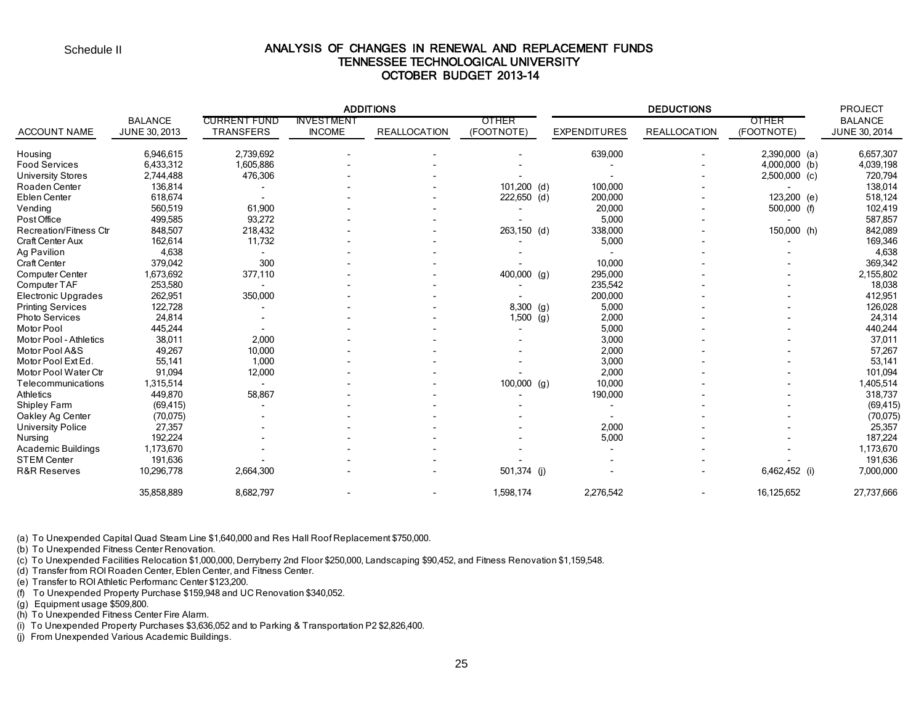### ANALYSIS OF CHANGES IN RENEWAL AND REPLACEMENT FUNDS TENNESSEE TECHNOLOGICAL UNIVERSITY OCTOBER BUDGET 2013-14

|                               |                |                     |                   | <b>ADDITIONS</b>    |               |     |                     | <b>PROJECT</b>      |                 |                |
|-------------------------------|----------------|---------------------|-------------------|---------------------|---------------|-----|---------------------|---------------------|-----------------|----------------|
|                               | <b>BALANCE</b> | <b>CURRENT FUND</b> | <b>INVESTMENT</b> |                     | OTHER         |     |                     |                     | OTHER           | <b>BALANCE</b> |
| <b>ACCOUNT NAME</b>           | JUNE 30, 2013  | <b>TRANSFERS</b>    | <b>INCOME</b>     | <b>REALLOCATION</b> | (FOOTNOTE)    |     | <b>EXPENDITURES</b> | <b>REALLOCATION</b> | (FOOTNOTE)      | JUNE 30, 2014  |
| Housing                       | 6,946,615      | 2,739,692           |                   |                     |               |     | 639,000             |                     | $2,390,000$ (a) | 6,657,307      |
| <b>Food Services</b>          | 6,433,312      | 1,605,886           |                   |                     |               |     |                     |                     | $4,000,000$ (b) | 4,039,198      |
| <b>University Stores</b>      | 2,744,488      | 476,306             |                   |                     |               |     |                     |                     | $2,500,000$ (c) | 720,794        |
| Roaden Center                 | 136,814        |                     |                   |                     | $101,200$ (d) |     | 100,000             |                     |                 | 138,014        |
| Eblen Center                  | 618,674        |                     |                   |                     | 222,650 (d)   |     | 200,000             |                     | 123,200 (e)     | 518,124        |
| Vending                       | 560,519        | 61,900              |                   |                     |               |     | 20,000              |                     | 500,000 (f)     | 102,419        |
| Post Office                   | 499,585        | 93,272              |                   |                     |               |     | 5,000               |                     |                 | 587,857        |
| <b>Recreation/Fitness Ctr</b> | 848,507        | 218,432             |                   |                     | 263,150 (d)   |     | 338,000             |                     | 150,000 (h)     | 842,089        |
| Craft Center Aux              | 162,614        | 11,732              |                   |                     |               |     | 5,000               |                     |                 | 169,346        |
| Ag Pavilion                   | 4,638          |                     |                   |                     |               |     |                     |                     |                 | 4,638          |
| Craft Center                  | 379,042        | 300                 |                   |                     |               |     | 10,000              |                     |                 | 369,342        |
| Computer Center               | 1,673,692      | 377,110             |                   |                     | 400,000 (g)   |     | 295,000             |                     |                 | 2,155,802      |
| Computer TAF                  | 253,580        |                     |                   |                     |               |     | 235,542             |                     |                 | 18,038         |
| Electronic Upgrades           | 262,951        | 350,000             |                   |                     |               |     | 200,000             |                     |                 | 412,951        |
| <b>Printing Services</b>      | 122,728        |                     |                   |                     | 8,300 (g)     |     | 5,000               |                     |                 | 126,028        |
| <b>Photo Services</b>         | 24,814         |                     |                   |                     | 1,500         | (g) | 2,000               |                     |                 | 24,314         |
| Motor Pool                    | 445,244        |                     |                   |                     |               |     | 5,000               |                     |                 | 440,244        |
| Motor Pool - Athletics        | 38,011         | 2,000               |                   |                     |               |     | 3,000               |                     |                 | 37,011         |
| Motor Pool A&S                | 49,267         | 10,000              |                   |                     |               |     | 2,000               |                     |                 | 57,267         |
| Motor Pool Ext Ed.            | 55,141         | 1,000               |                   |                     |               |     | 3,000               |                     |                 | 53,141         |
| Motor Pool Water Ctr          | 91,094         | 12,000              |                   |                     |               |     | 2,000               |                     |                 | 101,094        |
| Telecommunications            | 1,315,514      |                     |                   |                     | $100,000$ (g) |     | 10,000              |                     |                 | 1,405,514      |
| <b>Athletics</b>              | 449,870        | 58,867              |                   |                     |               |     | 190,000             |                     |                 | 318,737        |
| Shipley Farm                  | (69, 415)      |                     |                   |                     |               |     |                     |                     |                 | (69, 415)      |
| Oakley Ag Center              | (70, 075)      |                     |                   |                     |               |     |                     |                     |                 | (70, 075)      |
| <b>University Police</b>      | 27,357         |                     |                   |                     |               |     | 2,000               |                     |                 | 25,357         |
| Nursing                       | 192,224        |                     |                   |                     |               |     | 5,000               |                     |                 | 187,224        |
| <b>Academic Buildings</b>     | 1,173,670      |                     |                   |                     |               |     |                     |                     |                 | 1,173,670      |
| <b>STEM Center</b>            | 191,636        |                     |                   |                     |               |     |                     |                     |                 | 191,636        |
| R&R Reserves                  | 10,296,778     | 2,664,300           |                   |                     | 501,374 (j)   |     |                     |                     | 6,462,452 (i)   | 7,000,000      |
|                               | 35,858,889     | 8,682,797           |                   |                     | 1,598,174     |     | 2,276,542           |                     | 16,125,652      | 27,737,666     |

(a) To Unexpended Capital Quad Steam Line \$1,640,000 and Res Hall Roof Replacement \$750,000.

(b) To Unexpended Fitness Center Renovation.

(c) To Unexpended Facilities Relocation \$1,000,000, Derryberry 2nd Floor \$250,000, Landscaping \$90,452, and Fitness Renovation \$1,159,548.

(d) Transfer from ROI Roaden Center, Eblen Center, and Fitness Center.

(e) Transfer to ROI Athletic Performanc Center \$123,200.

(f) To Unexpended Property Purchase \$159,948 and UC Renovation \$340,052.

(g) Equipment usage \$509,800.

(h) To Unexpended Fitness Center Fire Alarm.

(i) To Unexpended Property Purchases \$3,636,052 and to Parking & Transportation P2 \$2,826,400.

(j) From Unexpended Various Academic Buildings.